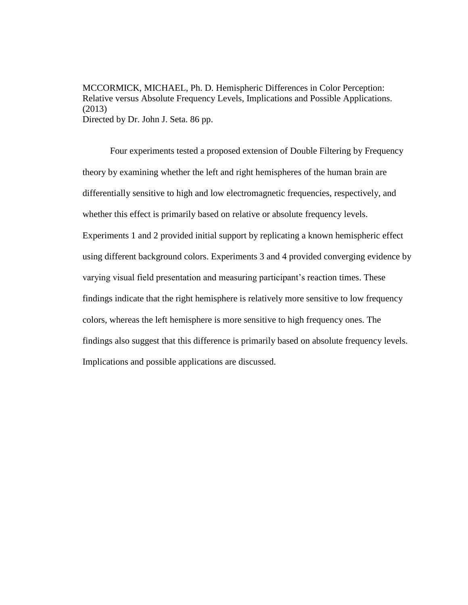MCCORMICK, MICHAEL, Ph. D. Hemispheric Differences in Color Perception: Relative versus Absolute Frequency Levels, Implications and Possible Applications. (2013) Directed by Dr. John J. Seta. 86 pp.

Four experiments tested a proposed extension of Double Filtering by Frequency theory by examining whether the left and right hemispheres of the human brain are differentially sensitive to high and low electromagnetic frequencies, respectively, and whether this effect is primarily based on relative or absolute frequency levels. Experiments 1 and 2 provided initial support by replicating a known hemispheric effect using different background colors. Experiments 3 and 4 provided converging evidence by varying visual field presentation and measuring participant's reaction times. These findings indicate that the right hemisphere is relatively more sensitive to low frequency colors, whereas the left hemisphere is more sensitive to high frequency ones. The findings also suggest that this difference is primarily based on absolute frequency levels. Implications and possible applications are discussed.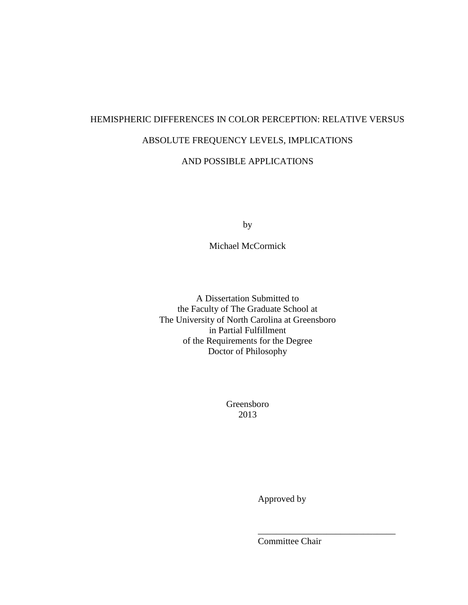# HEMISPHERIC DIFFERENCES IN COLOR PERCEPTION: RELATIVE VERSUS ABSOLUTE FREQUENCY LEVELS, IMPLICATIONS

# AND POSSIBLE APPLICATIONS

by

Michael McCormick

A Dissertation Submitted to the Faculty of The Graduate School at The University of North Carolina at Greensboro in Partial Fulfillment of the Requirements for the Degree Doctor of Philosophy

> Greensboro 2013

> > Approved by

Committee Chair

\_\_\_\_\_\_\_\_\_\_\_\_\_\_\_\_\_\_\_\_\_\_\_\_\_\_\_\_\_\_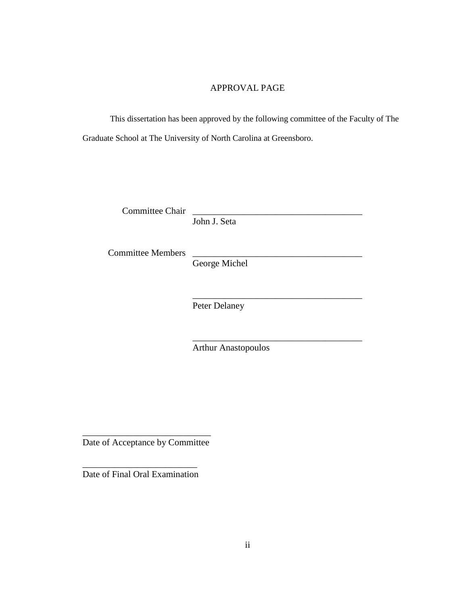### APPROVAL PAGE

This dissertation has been approved by the following committee of the Faculty of The Graduate School at The University of North Carolina at Greensboro.

Committee Chair

John J. Seta

Committee Members

George Michel

Peter Delaney

Arthur Anastopoulos

\_\_\_\_\_\_\_\_\_\_\_\_\_\_\_\_\_\_\_\_\_\_\_\_\_\_\_\_\_\_\_\_\_\_\_\_\_

\_\_\_\_\_\_\_\_\_\_\_\_\_\_\_\_\_\_\_\_\_\_\_\_\_\_\_\_\_\_\_\_\_\_\_\_\_

\_\_\_\_\_\_\_\_\_\_\_\_\_\_\_\_\_\_\_\_\_\_\_\_\_\_\_\_ Date of Acceptance by Committee

\_\_\_\_\_\_\_\_\_\_\_\_\_\_\_\_\_\_\_\_\_\_\_\_\_ Date of Final Oral Examination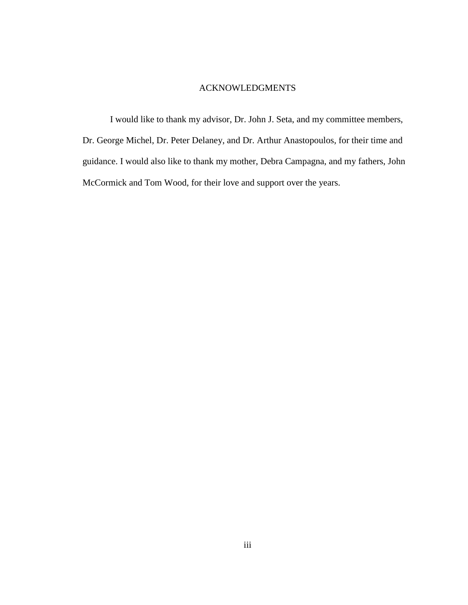#### ACKNOWLEDGMENTS

I would like to thank my advisor, Dr. John J. Seta, and my committee members, Dr. George Michel, Dr. Peter Delaney, and Dr. Arthur Anastopoulos, for their time and guidance. I would also like to thank my mother, Debra Campagna, and my fathers, John McCormick and Tom Wood, for their love and support over the years.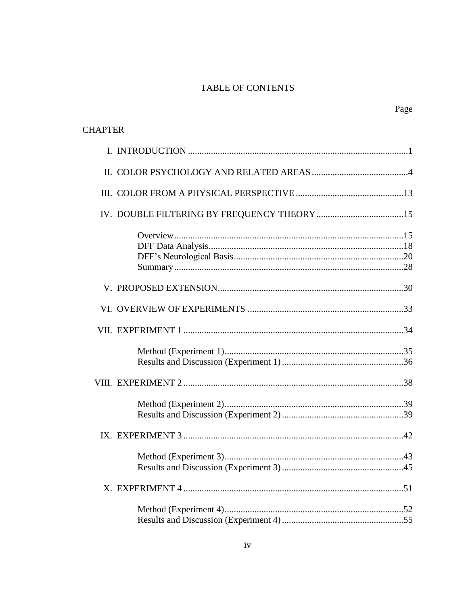# TABLE OF CONTENTS

# **CHAPTER**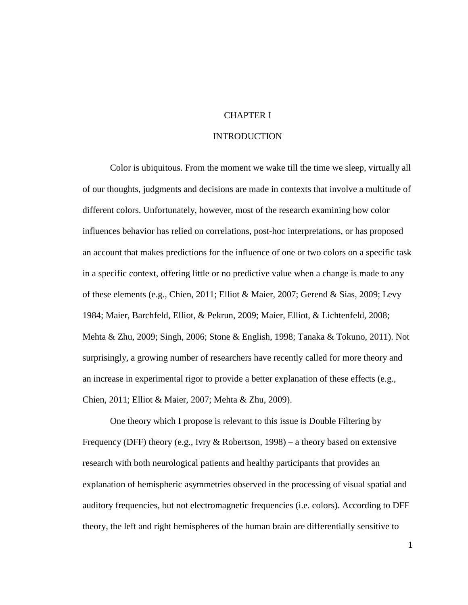## CHAPTER I

#### INTRODUCTION

Color is ubiquitous. From the moment we wake till the time we sleep, virtually all of our thoughts, judgments and decisions are made in contexts that involve a multitude of different colors. Unfortunately, however, most of the research examining how color influences behavior has relied on correlations, post-hoc interpretations, or has proposed an account that makes predictions for the influence of one or two colors on a specific task in a specific context, offering little or no predictive value when a change is made to any of these elements (e.g., Chien, 2011; Elliot & Maier, 2007; Gerend & Sias, 2009; Levy 1984; Maier, Barchfeld, Elliot, & Pekrun, 2009; Maier, Elliot, & Lichtenfeld, 2008; Mehta & Zhu, 2009; Singh, 2006; Stone & English, 1998; Tanaka & Tokuno, 2011). Not surprisingly, a growing number of researchers have recently called for more theory and an increase in experimental rigor to provide a better explanation of these effects (e.g., Chien, 2011; Elliot & Maier, 2007; Mehta & Zhu, 2009).

One theory which I propose is relevant to this issue is Double Filtering by Frequency (DFF) theory (e.g., Ivry  $& Robertson, 1998$ ) – a theory based on extensive research with both neurological patients and healthy participants that provides an explanation of hemispheric asymmetries observed in the processing of visual spatial and auditory frequencies, but not electromagnetic frequencies (i.e. colors). According to DFF theory, the left and right hemispheres of the human brain are differentially sensitive to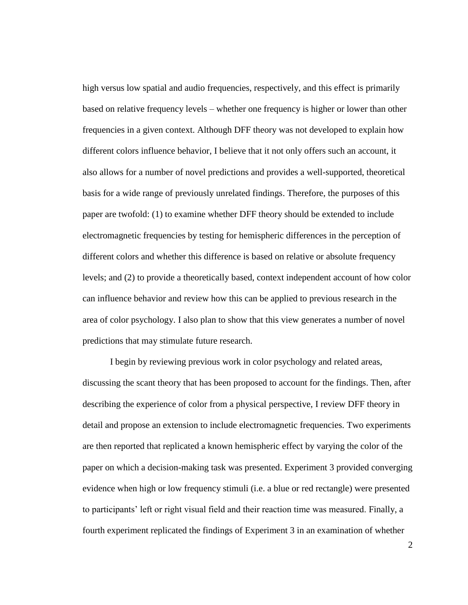high versus low spatial and audio frequencies, respectively, and this effect is primarily based on relative frequency levels – whether one frequency is higher or lower than other frequencies in a given context. Although DFF theory was not developed to explain how different colors influence behavior, I believe that it not only offers such an account, it also allows for a number of novel predictions and provides a well-supported, theoretical basis for a wide range of previously unrelated findings. Therefore, the purposes of this paper are twofold: (1) to examine whether DFF theory should be extended to include electromagnetic frequencies by testing for hemispheric differences in the perception of different colors and whether this difference is based on relative or absolute frequency levels; and (2) to provide a theoretically based, context independent account of how color can influence behavior and review how this can be applied to previous research in the area of color psychology. I also plan to show that this view generates a number of novel predictions that may stimulate future research.

I begin by reviewing previous work in color psychology and related areas, discussing the scant theory that has been proposed to account for the findings. Then, after describing the experience of color from a physical perspective, I review DFF theory in detail and propose an extension to include electromagnetic frequencies. Two experiments are then reported that replicated a known hemispheric effect by varying the color of the paper on which a decision-making task was presented. Experiment 3 provided converging evidence when high or low frequency stimuli (i.e. a blue or red rectangle) were presented to participants' left or right visual field and their reaction time was measured. Finally, a fourth experiment replicated the findings of Experiment 3 in an examination of whether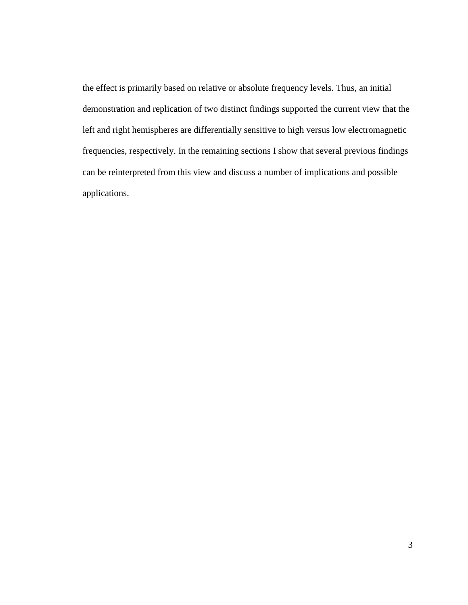the effect is primarily based on relative or absolute frequency levels. Thus, an initial demonstration and replication of two distinct findings supported the current view that the left and right hemispheres are differentially sensitive to high versus low electromagnetic frequencies, respectively. In the remaining sections I show that several previous findings can be reinterpreted from this view and discuss a number of implications and possible applications.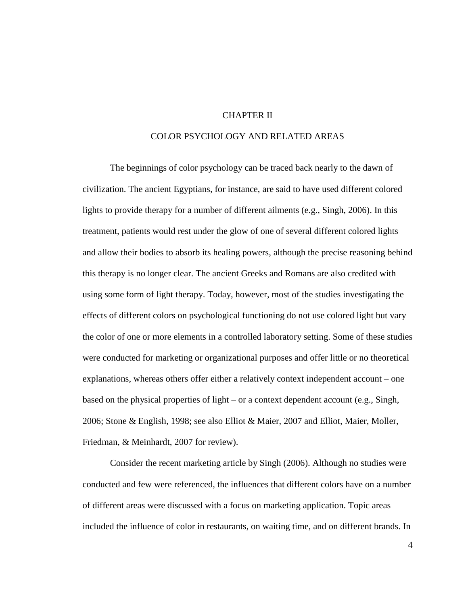## CHAPTER II

## COLOR PSYCHOLOGY AND RELATED AREAS

The beginnings of color psychology can be traced back nearly to the dawn of civilization. The ancient Egyptians, for instance, are said to have used different colored lights to provide therapy for a number of different ailments (e.g., Singh, 2006). In this treatment, patients would rest under the glow of one of several different colored lights and allow their bodies to absorb its healing powers, although the precise reasoning behind this therapy is no longer clear. The ancient Greeks and Romans are also credited with using some form of light therapy. Today, however, most of the studies investigating the effects of different colors on psychological functioning do not use colored light but vary the color of one or more elements in a controlled laboratory setting. Some of these studies were conducted for marketing or organizational purposes and offer little or no theoretical explanations, whereas others offer either a relatively context independent account – one based on the physical properties of light – or a context dependent account (e.g., Singh, 2006; Stone & English, 1998; see also Elliot & Maier, 2007 and Elliot, Maier, Moller, Friedman, & Meinhardt, 2007 for review).

Consider the recent marketing article by Singh (2006). Although no studies were conducted and few were referenced, the influences that different colors have on a number of different areas were discussed with a focus on marketing application. Topic areas included the influence of color in restaurants, on waiting time, and on different brands. In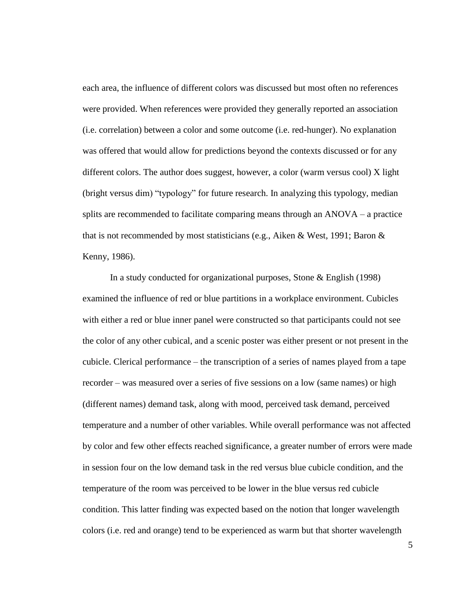each area, the influence of different colors was discussed but most often no references were provided. When references were provided they generally reported an association (i.e. correlation) between a color and some outcome (i.e. red-hunger). No explanation was offered that would allow for predictions beyond the contexts discussed or for any different colors. The author does suggest, however, a color (warm versus cool) X light (bright versus dim) "typology" for future research. In analyzing this typology, median splits are recommended to facilitate comparing means through an ANOVA – a practice that is not recommended by most statisticians (e.g., Aiken & West, 1991; Baron & Kenny, 1986).

In a study conducted for organizational purposes, Stone & English (1998) examined the influence of red or blue partitions in a workplace environment. Cubicles with either a red or blue inner panel were constructed so that participants could not see the color of any other cubical, and a scenic poster was either present or not present in the cubicle. Clerical performance – the transcription of a series of names played from a tape recorder – was measured over a series of five sessions on a low (same names) or high (different names) demand task, along with mood, perceived task demand, perceived temperature and a number of other variables. While overall performance was not affected by color and few other effects reached significance, a greater number of errors were made in session four on the low demand task in the red versus blue cubicle condition, and the temperature of the room was perceived to be lower in the blue versus red cubicle condition. This latter finding was expected based on the notion that longer wavelength colors (i.e. red and orange) tend to be experienced as warm but that shorter wavelength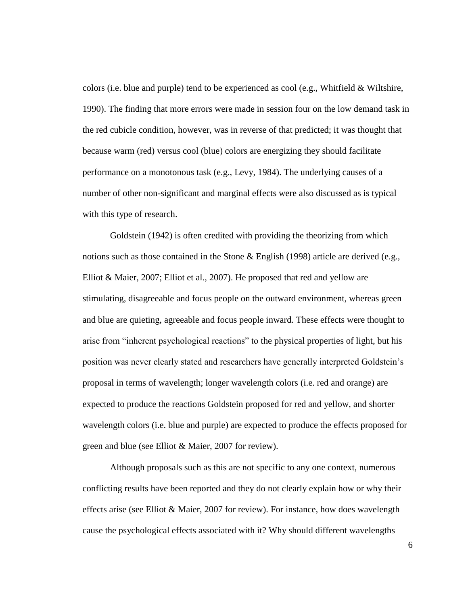colors (i.e. blue and purple) tend to be experienced as cool (e.g., Whitfield & Wiltshire, 1990). The finding that more errors were made in session four on the low demand task in the red cubicle condition, however, was in reverse of that predicted; it was thought that because warm (red) versus cool (blue) colors are energizing they should facilitate performance on a monotonous task (e.g., Levy, 1984). The underlying causes of a number of other non-significant and marginal effects were also discussed as is typical with this type of research.

Goldstein (1942) is often credited with providing the theorizing from which notions such as those contained in the Stone  $\&$  English (1998) article are derived (e.g., Elliot & Maier, 2007; Elliot et al., 2007). He proposed that red and yellow are stimulating, disagreeable and focus people on the outward environment, whereas green and blue are quieting, agreeable and focus people inward. These effects were thought to arise from "inherent psychological reactions" to the physical properties of light, but his position was never clearly stated and researchers have generally interpreted Goldstein's proposal in terms of wavelength; longer wavelength colors (i.e. red and orange) are expected to produce the reactions Goldstein proposed for red and yellow, and shorter wavelength colors (i.e. blue and purple) are expected to produce the effects proposed for green and blue (see Elliot & Maier, 2007 for review).

Although proposals such as this are not specific to any one context, numerous conflicting results have been reported and they do not clearly explain how or why their effects arise (see Elliot & Maier, 2007 for review). For instance, how does wavelength cause the psychological effects associated with it? Why should different wavelengths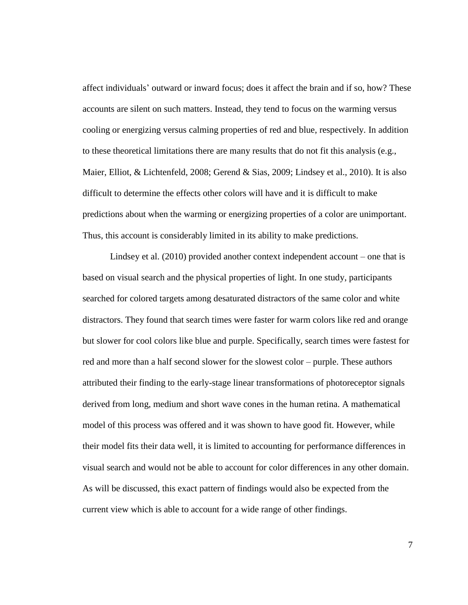affect individuals' outward or inward focus; does it affect the brain and if so, how? These accounts are silent on such matters. Instead, they tend to focus on the warming versus cooling or energizing versus calming properties of red and blue, respectively. In addition to these theoretical limitations there are many results that do not fit this analysis (e.g., Maier, Elliot, & Lichtenfeld, 2008; Gerend & Sias, 2009; Lindsey et al., 2010). It is also difficult to determine the effects other colors will have and it is difficult to make predictions about when the warming or energizing properties of a color are unimportant. Thus, this account is considerably limited in its ability to make predictions.

Lindsey et al. (2010) provided another context independent account – one that is based on visual search and the physical properties of light. In one study, participants searched for colored targets among desaturated distractors of the same color and white distractors. They found that search times were faster for warm colors like red and orange but slower for cool colors like blue and purple. Specifically, search times were fastest for red and more than a half second slower for the slowest color – purple. These authors attributed their finding to the early-stage linear transformations of photoreceptor signals derived from long, medium and short wave cones in the human retina. A mathematical model of this process was offered and it was shown to have good fit. However, while their model fits their data well, it is limited to accounting for performance differences in visual search and would not be able to account for color differences in any other domain. As will be discussed, this exact pattern of findings would also be expected from the current view which is able to account for a wide range of other findings.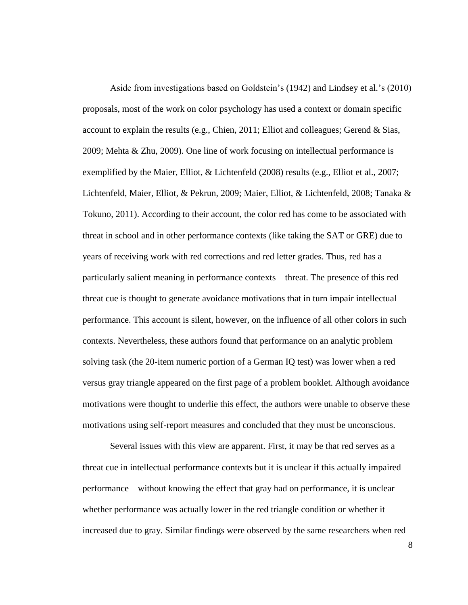Aside from investigations based on Goldstein's (1942) and Lindsey et al.'s (2010) proposals, most of the work on color psychology has used a context or domain specific account to explain the results (e.g., Chien, 2011; Elliot and colleagues; Gerend & Sias, 2009; Mehta & Zhu, 2009). One line of work focusing on intellectual performance is exemplified by the Maier, Elliot, & Lichtenfeld (2008) results (e.g., Elliot et al., 2007; Lichtenfeld, Maier, Elliot, & Pekrun, 2009; Maier, Elliot, & Lichtenfeld, 2008; Tanaka & Tokuno, 2011). According to their account, the color red has come to be associated with threat in school and in other performance contexts (like taking the SAT or GRE) due to years of receiving work with red corrections and red letter grades. Thus, red has a particularly salient meaning in performance contexts – threat. The presence of this red threat cue is thought to generate avoidance motivations that in turn impair intellectual performance. This account is silent, however, on the influence of all other colors in such contexts. Nevertheless, these authors found that performance on an analytic problem solving task (the 20-item numeric portion of a German IQ test) was lower when a red versus gray triangle appeared on the first page of a problem booklet. Although avoidance motivations were thought to underlie this effect, the authors were unable to observe these motivations using self-report measures and concluded that they must be unconscious.

Several issues with this view are apparent. First, it may be that red serves as a threat cue in intellectual performance contexts but it is unclear if this actually impaired performance – without knowing the effect that gray had on performance, it is unclear whether performance was actually lower in the red triangle condition or whether it increased due to gray. Similar findings were observed by the same researchers when red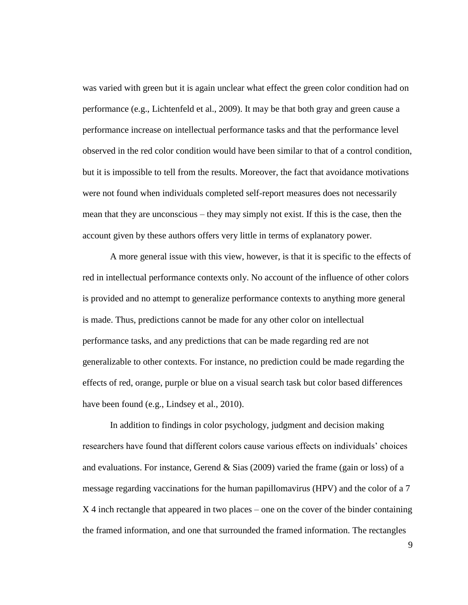was varied with green but it is again unclear what effect the green color condition had on performance (e.g., Lichtenfeld et al., 2009). It may be that both gray and green cause a performance increase on intellectual performance tasks and that the performance level observed in the red color condition would have been similar to that of a control condition, but it is impossible to tell from the results. Moreover, the fact that avoidance motivations were not found when individuals completed self-report measures does not necessarily mean that they are unconscious – they may simply not exist. If this is the case, then the account given by these authors offers very little in terms of explanatory power.

A more general issue with this view, however, is that it is specific to the effects of red in intellectual performance contexts only. No account of the influence of other colors is provided and no attempt to generalize performance contexts to anything more general is made. Thus, predictions cannot be made for any other color on intellectual performance tasks, and any predictions that can be made regarding red are not generalizable to other contexts. For instance, no prediction could be made regarding the effects of red, orange, purple or blue on a visual search task but color based differences have been found (e.g., Lindsey et al., 2010).

In addition to findings in color psychology, judgment and decision making researchers have found that different colors cause various effects on individuals' choices and evaluations. For instance, Gerend  $&$  Sias (2009) varied the frame (gain or loss) of a message regarding vaccinations for the human papillomavirus (HPV) and the color of a 7 X 4 inch rectangle that appeared in two places – one on the cover of the binder containing the framed information, and one that surrounded the framed information. The rectangles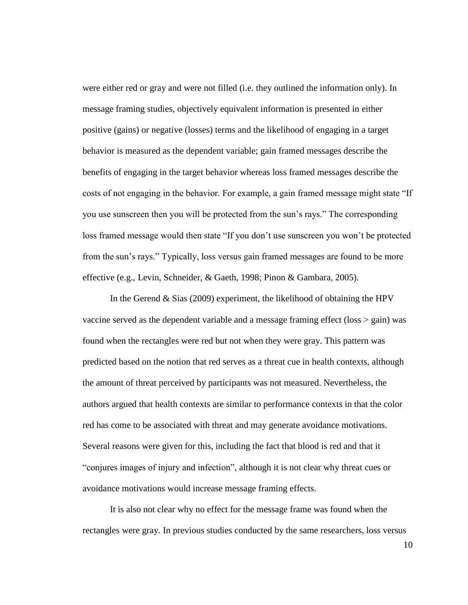were either red or gray and were not filled (i.e. they outlined the information only). In message framing studies, objectively equivalent information is presented in either positive (gains) or negative (losses) terms and the likelihood of engaging in a target behavior is measured as the dependent variable; gain framed messages describe the benefits of engaging in the target behavior whereas loss framed messages describe the costs of not engaging in the behavior. For example, a gain framed message might state "If you use sunscreen then you will be protected from the sun's rays." The corresponding loss framed message would then state "If you don't use sunscreen you won't be protected from the sun's rays." Typically, loss versus gain framed messages are found to be more effective (e.g., Levin, Schneider, & Gaeth, 1998; Pinon & Gambara, 2005).

In the Gerend  $&$  Sias (2009) experiment, the likelihood of obtaining the HPV vaccine served as the dependent variable and a message framing effect (loss > gain) was found when the rectangles were red but not when they were gray. This pattern was predicted based on the notion that red serves as a threat cue in health contexts, although the amount of threat perceived by participants was not measured. Nevertheless, the authors argued that health contexts are similar to performance contexts in that the color red has come to be associated with threat and may generate avoidance motivations. Several reasons were given for this, including the fact that blood is red and that it "conjures images of injury and infection", although it is not clear why threat cues or avoidance motivations would increase message framing effects.

It is also not clear why no effect for the message frame was found when the rectangles were gray. In previous studies conducted by the same researchers, loss versus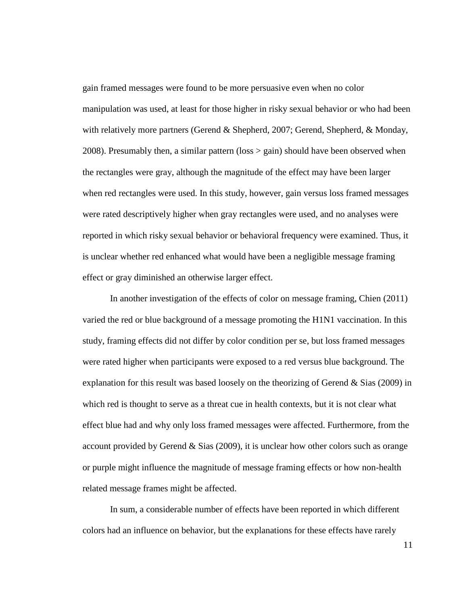gain framed messages were found to be more persuasive even when no color manipulation was used, at least for those higher in risky sexual behavior or who had been with relatively more partners (Gerend & Shepherd, 2007; Gerend, Shepherd, & Monday, 2008). Presumably then, a similar pattern (loss > gain) should have been observed when the rectangles were gray, although the magnitude of the effect may have been larger when red rectangles were used. In this study, however, gain versus loss framed messages were rated descriptively higher when gray rectangles were used, and no analyses were reported in which risky sexual behavior or behavioral frequency were examined. Thus, it is unclear whether red enhanced what would have been a negligible message framing effect or gray diminished an otherwise larger effect.

In another investigation of the effects of color on message framing, Chien (2011) varied the red or blue background of a message promoting the H1N1 vaccination. In this study, framing effects did not differ by color condition per se, but loss framed messages were rated higher when participants were exposed to a red versus blue background. The explanation for this result was based loosely on the theorizing of Gerend & Sias (2009) in which red is thought to serve as a threat cue in health contexts, but it is not clear what effect blue had and why only loss framed messages were affected. Furthermore, from the account provided by Gerend & Sias (2009), it is unclear how other colors such as orange or purple might influence the magnitude of message framing effects or how non-health related message frames might be affected.

In sum, a considerable number of effects have been reported in which different colors had an influence on behavior, but the explanations for these effects have rarely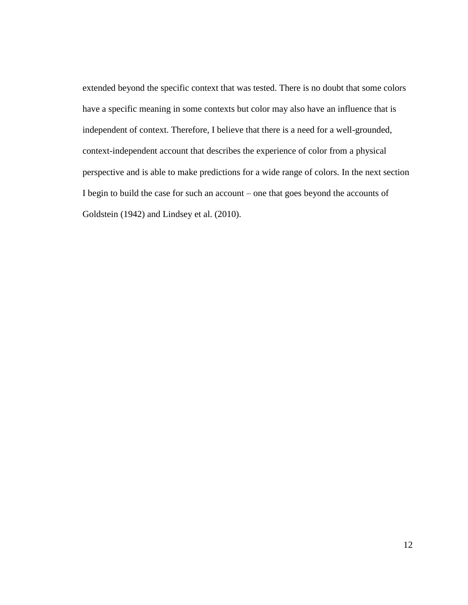extended beyond the specific context that was tested. There is no doubt that some colors have a specific meaning in some contexts but color may also have an influence that is independent of context. Therefore, I believe that there is a need for a well-grounded, context-independent account that describes the experience of color from a physical perspective and is able to make predictions for a wide range of colors. In the next section I begin to build the case for such an account – one that goes beyond the accounts of Goldstein (1942) and Lindsey et al. (2010).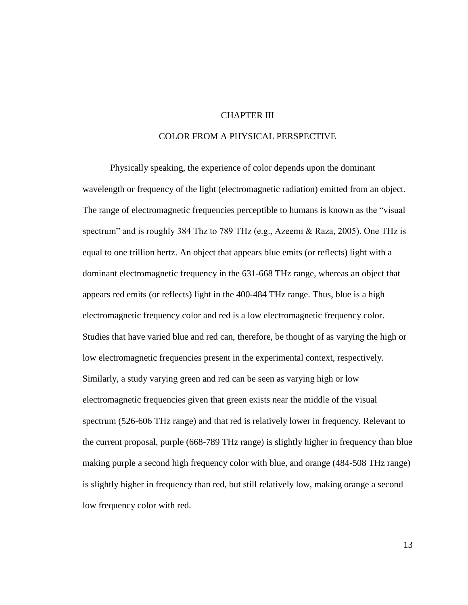## CHAPTER III

## COLOR FROM A PHYSICAL PERSPECTIVE

Physically speaking, the experience of color depends upon the dominant wavelength or frequency of the light (electromagnetic radiation) emitted from an object. The range of electromagnetic frequencies perceptible to humans is known as the "visual spectrum" and is roughly 384 Thz to 789 THz (e.g., Azeemi & Raza, 2005). One THz is equal to one trillion hertz. An object that appears blue emits (or reflects) light with a dominant electromagnetic frequency in the 631-668 THz range, whereas an object that appears red emits (or reflects) light in the 400-484 THz range. Thus, blue is a high electromagnetic frequency color and red is a low electromagnetic frequency color. Studies that have varied blue and red can, therefore, be thought of as varying the high or low electromagnetic frequencies present in the experimental context, respectively. Similarly, a study varying green and red can be seen as varying high or low electromagnetic frequencies given that green exists near the middle of the visual spectrum (526-606 THz range) and that red is relatively lower in frequency. Relevant to the current proposal, purple (668-789 THz range) is slightly higher in frequency than blue making purple a second high frequency color with blue, and orange (484-508 THz range) is slightly higher in frequency than red, but still relatively low, making orange a second low frequency color with red.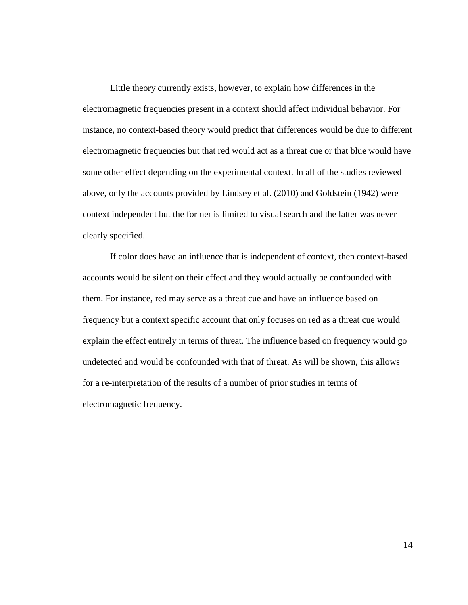Little theory currently exists, however, to explain how differences in the electromagnetic frequencies present in a context should affect individual behavior. For instance, no context-based theory would predict that differences would be due to different electromagnetic frequencies but that red would act as a threat cue or that blue would have some other effect depending on the experimental context. In all of the studies reviewed above, only the accounts provided by Lindsey et al. (2010) and Goldstein (1942) were context independent but the former is limited to visual search and the latter was never clearly specified.

If color does have an influence that is independent of context, then context-based accounts would be silent on their effect and they would actually be confounded with them. For instance, red may serve as a threat cue and have an influence based on frequency but a context specific account that only focuses on red as a threat cue would explain the effect entirely in terms of threat. The influence based on frequency would go undetected and would be confounded with that of threat. As will be shown, this allows for a re-interpretation of the results of a number of prior studies in terms of electromagnetic frequency.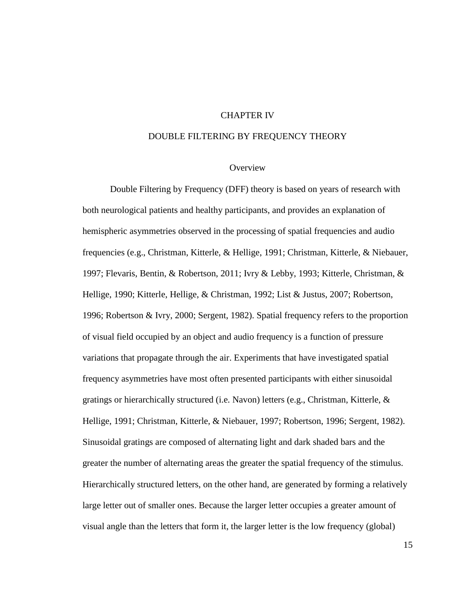#### CHAPTER IV

#### DOUBLE FILTERING BY FREQUENCY THEORY

#### **Overview**

Double Filtering by Frequency (DFF) theory is based on years of research with both neurological patients and healthy participants, and provides an explanation of hemispheric asymmetries observed in the processing of spatial frequencies and audio frequencies (e.g., Christman, Kitterle, & Hellige, 1991; Christman, Kitterle, & Niebauer, 1997; Flevaris, Bentin, & Robertson, 2011; Ivry & Lebby, 1993; Kitterle, Christman, & Hellige, 1990; Kitterle, Hellige, & Christman, 1992; List & Justus, 2007; Robertson, 1996; Robertson & Ivry, 2000; Sergent, 1982). Spatial frequency refers to the proportion of visual field occupied by an object and audio frequency is a function of pressure variations that propagate through the air. Experiments that have investigated spatial frequency asymmetries have most often presented participants with either sinusoidal gratings or hierarchically structured (i.e. Navon) letters (e.g., Christman, Kitterle, & Hellige, 1991; Christman, Kitterle, & Niebauer, 1997; Robertson, 1996; Sergent, 1982). Sinusoidal gratings are composed of alternating light and dark shaded bars and the greater the number of alternating areas the greater the spatial frequency of the stimulus. Hierarchically structured letters, on the other hand, are generated by forming a relatively large letter out of smaller ones. Because the larger letter occupies a greater amount of visual angle than the letters that form it, the larger letter is the low frequency (global)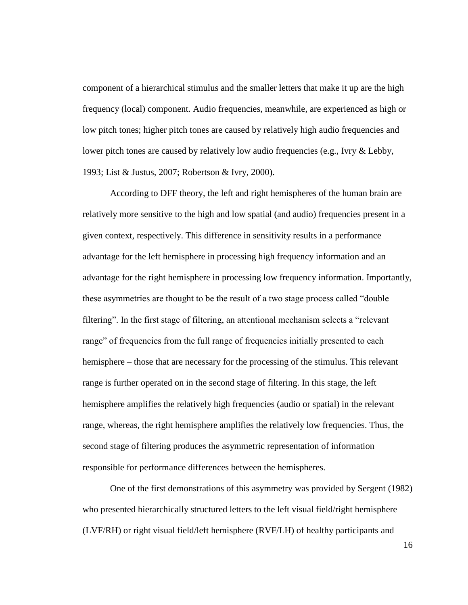component of a hierarchical stimulus and the smaller letters that make it up are the high frequency (local) component. Audio frequencies, meanwhile, are experienced as high or low pitch tones; higher pitch tones are caused by relatively high audio frequencies and lower pitch tones are caused by relatively low audio frequencies (e.g., Ivry  $\&$  Lebby, 1993; List & Justus, 2007; Robertson & Ivry, 2000).

According to DFF theory, the left and right hemispheres of the human brain are relatively more sensitive to the high and low spatial (and audio) frequencies present in a given context, respectively. This difference in sensitivity results in a performance advantage for the left hemisphere in processing high frequency information and an advantage for the right hemisphere in processing low frequency information. Importantly, these asymmetries are thought to be the result of a two stage process called "double filtering". In the first stage of filtering, an attentional mechanism selects a "relevant range" of frequencies from the full range of frequencies initially presented to each hemisphere – those that are necessary for the processing of the stimulus. This relevant range is further operated on in the second stage of filtering. In this stage, the left hemisphere amplifies the relatively high frequencies (audio or spatial) in the relevant range, whereas, the right hemisphere amplifies the relatively low frequencies. Thus, the second stage of filtering produces the asymmetric representation of information responsible for performance differences between the hemispheres.

One of the first demonstrations of this asymmetry was provided by Sergent (1982) who presented hierarchically structured letters to the left visual field/right hemisphere (LVF/RH) or right visual field/left hemisphere (RVF/LH) of healthy participants and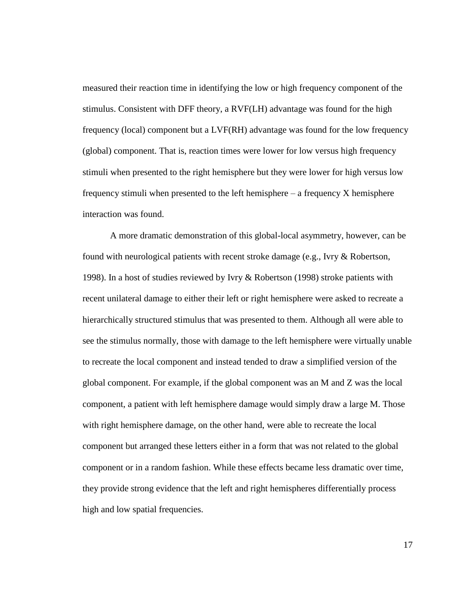measured their reaction time in identifying the low or high frequency component of the stimulus. Consistent with DFF theory, a RVF(LH) advantage was found for the high frequency (local) component but a LVF(RH) advantage was found for the low frequency (global) component. That is, reaction times were lower for low versus high frequency stimuli when presented to the right hemisphere but they were lower for high versus low frequency stimuli when presented to the left hemisphere – a frequency X hemisphere interaction was found.

A more dramatic demonstration of this global-local asymmetry, however, can be found with neurological patients with recent stroke damage (e.g., Ivry & Robertson, 1998). In a host of studies reviewed by Ivry & Robertson (1998) stroke patients with recent unilateral damage to either their left or right hemisphere were asked to recreate a hierarchically structured stimulus that was presented to them. Although all were able to see the stimulus normally, those with damage to the left hemisphere were virtually unable to recreate the local component and instead tended to draw a simplified version of the global component. For example, if the global component was an M and Z was the local component, a patient with left hemisphere damage would simply draw a large M. Those with right hemisphere damage, on the other hand, were able to recreate the local component but arranged these letters either in a form that was not related to the global component or in a random fashion. While these effects became less dramatic over time, they provide strong evidence that the left and right hemispheres differentially process high and low spatial frequencies.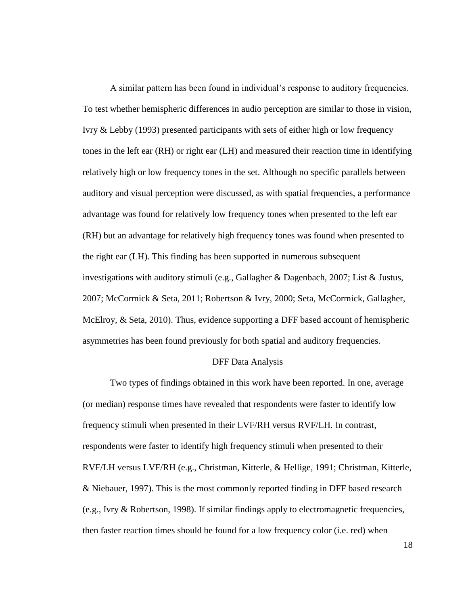A similar pattern has been found in individual's response to auditory frequencies. To test whether hemispheric differences in audio perception are similar to those in vision, Ivry & Lebby (1993) presented participants with sets of either high or low frequency tones in the left ear (RH) or right ear (LH) and measured their reaction time in identifying relatively high or low frequency tones in the set. Although no specific parallels between auditory and visual perception were discussed, as with spatial frequencies, a performance advantage was found for relatively low frequency tones when presented to the left ear (RH) but an advantage for relatively high frequency tones was found when presented to the right ear (LH). This finding has been supported in numerous subsequent investigations with auditory stimuli (e.g., Gallagher & Dagenbach, 2007; List & Justus, 2007; McCormick & Seta, 2011; Robertson & Ivry, 2000; Seta, McCormick, Gallagher, McElroy, & Seta, 2010). Thus, evidence supporting a DFF based account of hemispheric asymmetries has been found previously for both spatial and auditory frequencies.

#### DFF Data Analysis

Two types of findings obtained in this work have been reported. In one, average (or median) response times have revealed that respondents were faster to identify low frequency stimuli when presented in their LVF/RH versus RVF/LH. In contrast, respondents were faster to identify high frequency stimuli when presented to their RVF/LH versus LVF/RH (e.g., Christman, Kitterle, & Hellige, 1991; Christman, Kitterle, & Niebauer, 1997). This is the most commonly reported finding in DFF based research (e.g., Ivry & Robertson, 1998). If similar findings apply to electromagnetic frequencies, then faster reaction times should be found for a low frequency color (i.e. red) when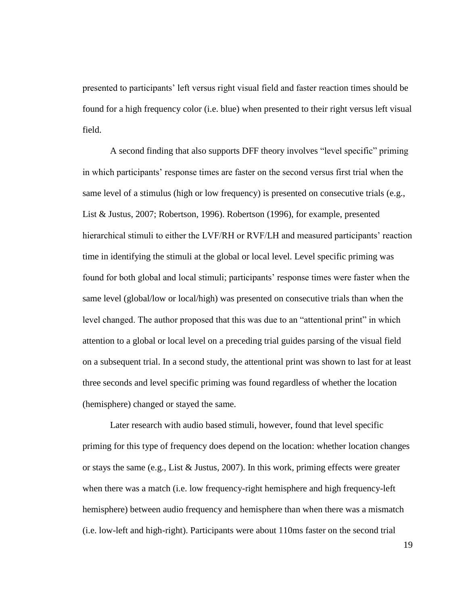presented to participants' left versus right visual field and faster reaction times should be found for a high frequency color (i.e. blue) when presented to their right versus left visual field.

A second finding that also supports DFF theory involves "level specific" priming in which participants' response times are faster on the second versus first trial when the same level of a stimulus (high or low frequency) is presented on consecutive trials (e.g., List & Justus, 2007; Robertson, 1996). Robertson (1996), for example, presented hierarchical stimuli to either the LVF/RH or RVF/LH and measured participants' reaction time in identifying the stimuli at the global or local level. Level specific priming was found for both global and local stimuli; participants' response times were faster when the same level (global/low or local/high) was presented on consecutive trials than when the level changed. The author proposed that this was due to an "attentional print" in which attention to a global or local level on a preceding trial guides parsing of the visual field on a subsequent trial. In a second study, the attentional print was shown to last for at least three seconds and level specific priming was found regardless of whether the location (hemisphere) changed or stayed the same.

Later research with audio based stimuli, however, found that level specific priming for this type of frequency does depend on the location: whether location changes or stays the same (e.g., List  $\&$  Justus, 2007). In this work, priming effects were greater when there was a match (i.e. low frequency-right hemisphere and high frequency-left hemisphere) between audio frequency and hemisphere than when there was a mismatch (i.e. low-left and high-right). Participants were about 110ms faster on the second trial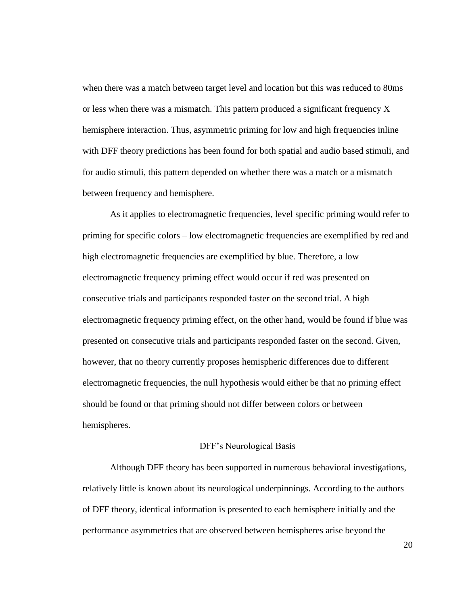when there was a match between target level and location but this was reduced to 80ms or less when there was a mismatch. This pattern produced a significant frequency X hemisphere interaction. Thus, asymmetric priming for low and high frequencies inline with DFF theory predictions has been found for both spatial and audio based stimuli, and for audio stimuli, this pattern depended on whether there was a match or a mismatch between frequency and hemisphere.

As it applies to electromagnetic frequencies, level specific priming would refer to priming for specific colors – low electromagnetic frequencies are exemplified by red and high electromagnetic frequencies are exemplified by blue. Therefore, a low electromagnetic frequency priming effect would occur if red was presented on consecutive trials and participants responded faster on the second trial. A high electromagnetic frequency priming effect, on the other hand, would be found if blue was presented on consecutive trials and participants responded faster on the second. Given, however, that no theory currently proposes hemispheric differences due to different electromagnetic frequencies, the null hypothesis would either be that no priming effect should be found or that priming should not differ between colors or between hemispheres.

#### DFF's Neurological Basis

Although DFF theory has been supported in numerous behavioral investigations, relatively little is known about its neurological underpinnings. According to the authors of DFF theory, identical information is presented to each hemisphere initially and the performance asymmetries that are observed between hemispheres arise beyond the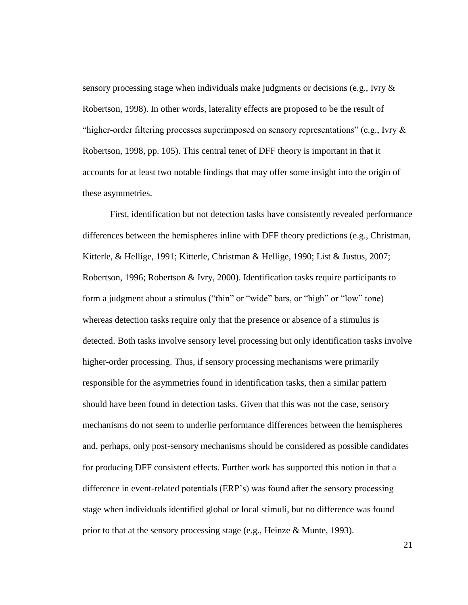sensory processing stage when individuals make judgments or decisions (e.g., Ivry & Robertson, 1998). In other words, laterality effects are proposed to be the result of "higher-order filtering processes superimposed on sensory representations" (e.g., Ivry  $\&$ Robertson, 1998, pp. 105). This central tenet of DFF theory is important in that it accounts for at least two notable findings that may offer some insight into the origin of these asymmetries.

First, identification but not detection tasks have consistently revealed performance differences between the hemispheres inline with DFF theory predictions (e.g., Christman, Kitterle, & Hellige, 1991; Kitterle, Christman & Hellige, 1990; List & Justus, 2007; Robertson, 1996; Robertson & Ivry, 2000). Identification tasks require participants to form a judgment about a stimulus ("thin" or "wide" bars, or "high" or "low" tone) whereas detection tasks require only that the presence or absence of a stimulus is detected. Both tasks involve sensory level processing but only identification tasks involve higher-order processing. Thus, if sensory processing mechanisms were primarily responsible for the asymmetries found in identification tasks, then a similar pattern should have been found in detection tasks. Given that this was not the case, sensory mechanisms do not seem to underlie performance differences between the hemispheres and, perhaps, only post-sensory mechanisms should be considered as possible candidates for producing DFF consistent effects. Further work has supported this notion in that a difference in event-related potentials (ERP's) was found after the sensory processing stage when individuals identified global or local stimuli, but no difference was found prior to that at the sensory processing stage (e.g., Heinze & Munte, 1993).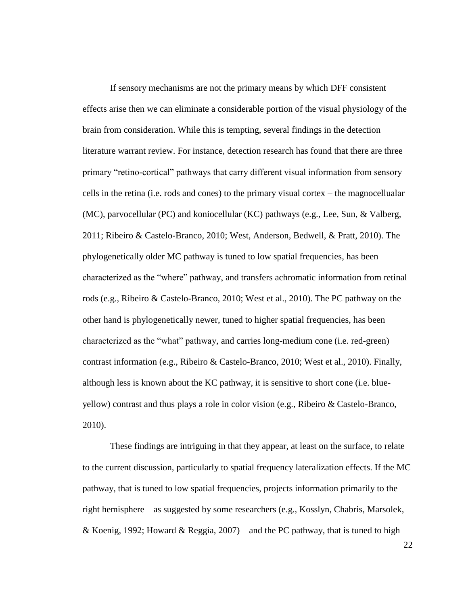If sensory mechanisms are not the primary means by which DFF consistent effects arise then we can eliminate a considerable portion of the visual physiology of the brain from consideration. While this is tempting, several findings in the detection literature warrant review. For instance, detection research has found that there are three primary "retino-cortical" pathways that carry different visual information from sensory cells in the retina (i.e. rods and cones) to the primary visual cortex – the magnocellualar (MC), parvocellular (PC) and koniocellular (KC) pathways (e.g., Lee, Sun, & Valberg, 2011; Ribeiro & Castelo-Branco, 2010; West, Anderson, Bedwell, & Pratt, 2010). The phylogenetically older MC pathway is tuned to low spatial frequencies, has been characterized as the "where" pathway, and transfers achromatic information from retinal rods (e.g., Ribeiro & Castelo-Branco, 2010; West et al., 2010). The PC pathway on the other hand is phylogenetically newer, tuned to higher spatial frequencies, has been characterized as the "what" pathway, and carries long-medium cone (i.e. red-green) contrast information (e.g., Ribeiro & Castelo-Branco, 2010; West et al., 2010). Finally, although less is known about the KC pathway, it is sensitive to short cone (i.e. blueyellow) contrast and thus plays a role in color vision (e.g., Ribeiro & Castelo-Branco, 2010).

These findings are intriguing in that they appear, at least on the surface, to relate to the current discussion, particularly to spatial frequency lateralization effects. If the MC pathway, that is tuned to low spatial frequencies, projects information primarily to the right hemisphere – as suggested by some researchers (e.g., Kosslyn, Chabris, Marsolek, & Koenig, 1992; Howard & Reggia, 2007) – and the PC pathway, that is tuned to high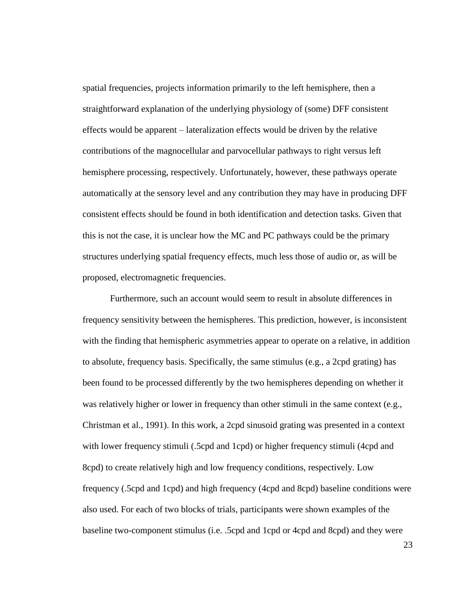spatial frequencies, projects information primarily to the left hemisphere, then a straightforward explanation of the underlying physiology of (some) DFF consistent effects would be apparent – lateralization effects would be driven by the relative contributions of the magnocellular and parvocellular pathways to right versus left hemisphere processing, respectively. Unfortunately, however, these pathways operate automatically at the sensory level and any contribution they may have in producing DFF consistent effects should be found in both identification and detection tasks. Given that this is not the case, it is unclear how the MC and PC pathways could be the primary structures underlying spatial frequency effects, much less those of audio or, as will be proposed, electromagnetic frequencies.

Furthermore, such an account would seem to result in absolute differences in frequency sensitivity between the hemispheres. This prediction, however, is inconsistent with the finding that hemispheric asymmetries appear to operate on a relative, in addition to absolute, frequency basis. Specifically, the same stimulus (e.g., a 2cpd grating) has been found to be processed differently by the two hemispheres depending on whether it was relatively higher or lower in frequency than other stimuli in the same context (e.g., Christman et al., 1991). In this work, a 2cpd sinusoid grating was presented in a context with lower frequency stimuli (.5cpd and 1cpd) or higher frequency stimuli (4cpd and 8cpd) to create relatively high and low frequency conditions, respectively. Low frequency (.5cpd and 1cpd) and high frequency (4cpd and 8cpd) baseline conditions were also used. For each of two blocks of trials, participants were shown examples of the baseline two-component stimulus (i.e. .5cpd and 1cpd or 4cpd and 8cpd) and they were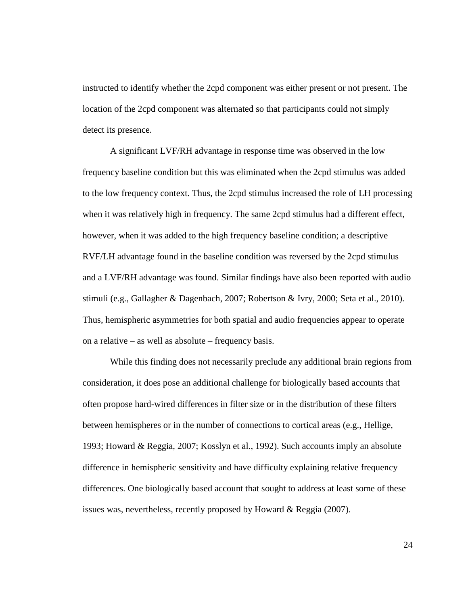instructed to identify whether the 2cpd component was either present or not present. The location of the 2cpd component was alternated so that participants could not simply detect its presence.

A significant LVF/RH advantage in response time was observed in the low frequency baseline condition but this was eliminated when the 2cpd stimulus was added to the low frequency context. Thus, the 2cpd stimulus increased the role of LH processing when it was relatively high in frequency. The same 2cpd stimulus had a different effect, however, when it was added to the high frequency baseline condition; a descriptive RVF/LH advantage found in the baseline condition was reversed by the 2cpd stimulus and a LVF/RH advantage was found. Similar findings have also been reported with audio stimuli (e.g., Gallagher & Dagenbach, 2007; Robertson & Ivry, 2000; Seta et al., 2010). Thus, hemispheric asymmetries for both spatial and audio frequencies appear to operate on a relative – as well as absolute – frequency basis.

While this finding does not necessarily preclude any additional brain regions from consideration, it does pose an additional challenge for biologically based accounts that often propose hard-wired differences in filter size or in the distribution of these filters between hemispheres or in the number of connections to cortical areas (e.g., Hellige, 1993; Howard & Reggia, 2007; Kosslyn et al., 1992). Such accounts imply an absolute difference in hemispheric sensitivity and have difficulty explaining relative frequency differences. One biologically based account that sought to address at least some of these issues was, nevertheless, recently proposed by Howard & Reggia (2007).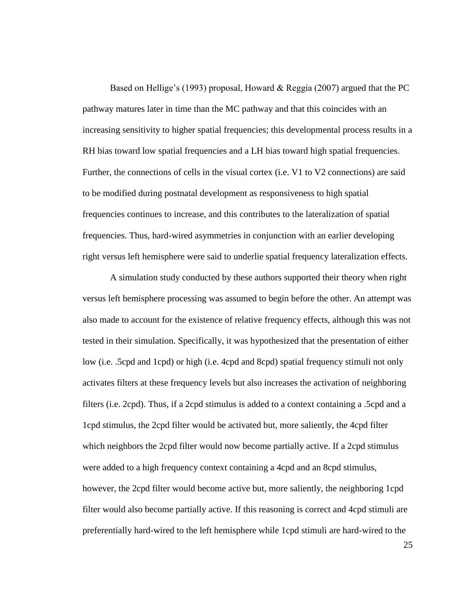Based on Hellige's (1993) proposal, Howard & Reggia (2007) argued that the PC pathway matures later in time than the MC pathway and that this coincides with an increasing sensitivity to higher spatial frequencies; this developmental process results in a RH bias toward low spatial frequencies and a LH bias toward high spatial frequencies. Further, the connections of cells in the visual cortex (i.e. V1 to V2 connections) are said to be modified during postnatal development as responsiveness to high spatial frequencies continues to increase, and this contributes to the lateralization of spatial frequencies. Thus, hard-wired asymmetries in conjunction with an earlier developing right versus left hemisphere were said to underlie spatial frequency lateralization effects.

A simulation study conducted by these authors supported their theory when right versus left hemisphere processing was assumed to begin before the other. An attempt was also made to account for the existence of relative frequency effects, although this was not tested in their simulation. Specifically, it was hypothesized that the presentation of either low (i.e. .5cpd and 1cpd) or high (i.e. 4cpd and 8cpd) spatial frequency stimuli not only activates filters at these frequency levels but also increases the activation of neighboring filters (i.e. 2cpd). Thus, if a 2cpd stimulus is added to a context containing a .5cpd and a 1cpd stimulus, the 2cpd filter would be activated but, more saliently, the 4cpd filter which neighbors the 2cpd filter would now become partially active. If a 2cpd stimulus were added to a high frequency context containing a 4cpd and an 8cpd stimulus, however, the 2cpd filter would become active but, more saliently, the neighboring 1cpd filter would also become partially active. If this reasoning is correct and 4cpd stimuli are preferentially hard-wired to the left hemisphere while 1cpd stimuli are hard-wired to the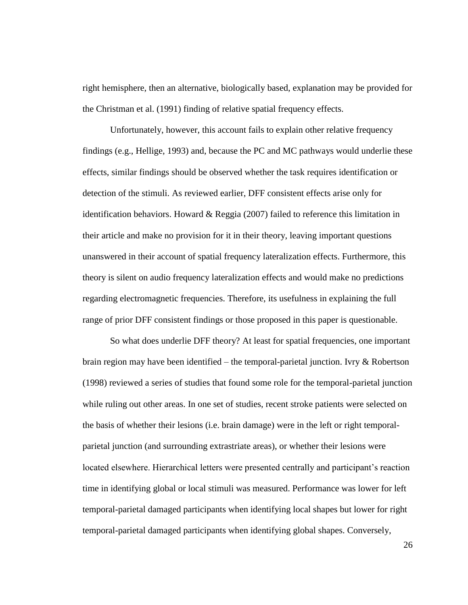right hemisphere, then an alternative, biologically based, explanation may be provided for the Christman et al. (1991) finding of relative spatial frequency effects.

Unfortunately, however, this account fails to explain other relative frequency findings (e.g., Hellige, 1993) and, because the PC and MC pathways would underlie these effects, similar findings should be observed whether the task requires identification or detection of the stimuli. As reviewed earlier, DFF consistent effects arise only for identification behaviors. Howard & Reggia (2007) failed to reference this limitation in their article and make no provision for it in their theory, leaving important questions unanswered in their account of spatial frequency lateralization effects. Furthermore, this theory is silent on audio frequency lateralization effects and would make no predictions regarding electromagnetic frequencies. Therefore, its usefulness in explaining the full range of prior DFF consistent findings or those proposed in this paper is questionable.

So what does underlie DFF theory? At least for spatial frequencies, one important brain region may have been identified – the temporal-parietal junction. Ivry & Robertson (1998) reviewed a series of studies that found some role for the temporal-parietal junction while ruling out other areas. In one set of studies, recent stroke patients were selected on the basis of whether their lesions (i.e. brain damage) were in the left or right temporalparietal junction (and surrounding extrastriate areas), or whether their lesions were located elsewhere. Hierarchical letters were presented centrally and participant's reaction time in identifying global or local stimuli was measured. Performance was lower for left temporal-parietal damaged participants when identifying local shapes but lower for right temporal-parietal damaged participants when identifying global shapes. Conversely,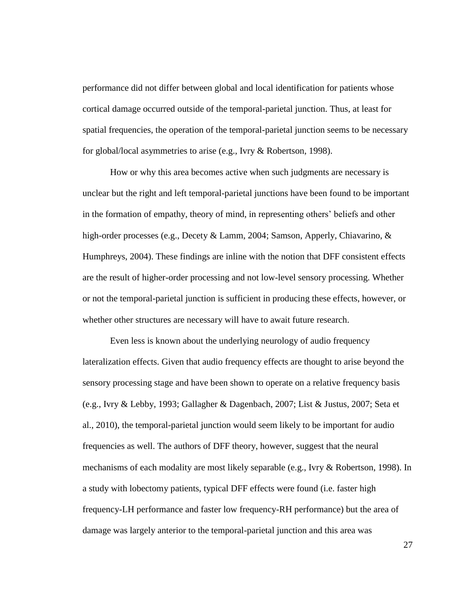performance did not differ between global and local identification for patients whose cortical damage occurred outside of the temporal-parietal junction. Thus, at least for spatial frequencies, the operation of the temporal-parietal junction seems to be necessary for global/local asymmetries to arise (e.g., Ivry & Robertson, 1998).

How or why this area becomes active when such judgments are necessary is unclear but the right and left temporal-parietal junctions have been found to be important in the formation of empathy, theory of mind, in representing others' beliefs and other high-order processes (e.g., Decety & Lamm, 2004; Samson, Apperly, Chiavarino, & Humphreys, 2004). These findings are inline with the notion that DFF consistent effects are the result of higher-order processing and not low-level sensory processing. Whether or not the temporal-parietal junction is sufficient in producing these effects, however, or whether other structures are necessary will have to await future research.

Even less is known about the underlying neurology of audio frequency lateralization effects. Given that audio frequency effects are thought to arise beyond the sensory processing stage and have been shown to operate on a relative frequency basis (e.g., Ivry & Lebby, 1993; Gallagher & Dagenbach, 2007; List & Justus, 2007; Seta et al., 2010), the temporal-parietal junction would seem likely to be important for audio frequencies as well. The authors of DFF theory, however, suggest that the neural mechanisms of each modality are most likely separable (e.g., Ivry & Robertson, 1998). In a study with lobectomy patients, typical DFF effects were found (i.e. faster high frequency-LH performance and faster low frequency-RH performance) but the area of damage was largely anterior to the temporal-parietal junction and this area was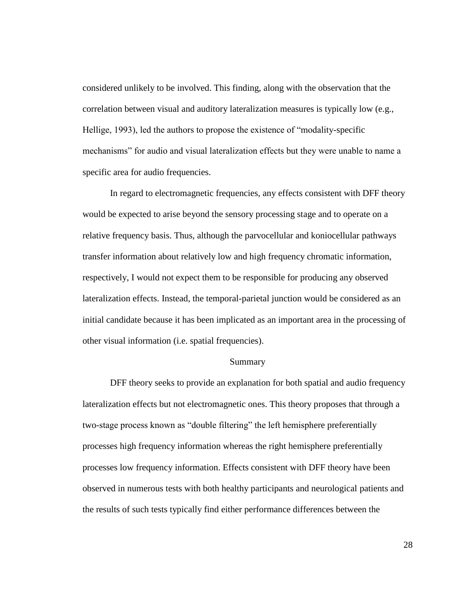considered unlikely to be involved. This finding, along with the observation that the correlation between visual and auditory lateralization measures is typically low (e.g., Hellige, 1993), led the authors to propose the existence of "modality-specific mechanisms" for audio and visual lateralization effects but they were unable to name a specific area for audio frequencies.

In regard to electromagnetic frequencies, any effects consistent with DFF theory would be expected to arise beyond the sensory processing stage and to operate on a relative frequency basis. Thus, although the parvocellular and koniocellular pathways transfer information about relatively low and high frequency chromatic information, respectively, I would not expect them to be responsible for producing any observed lateralization effects. Instead, the temporal-parietal junction would be considered as an initial candidate because it has been implicated as an important area in the processing of other visual information (i.e. spatial frequencies).

#### Summary

DFF theory seeks to provide an explanation for both spatial and audio frequency lateralization effects but not electromagnetic ones. This theory proposes that through a two-stage process known as "double filtering" the left hemisphere preferentially processes high frequency information whereas the right hemisphere preferentially processes low frequency information. Effects consistent with DFF theory have been observed in numerous tests with both healthy participants and neurological patients and the results of such tests typically find either performance differences between the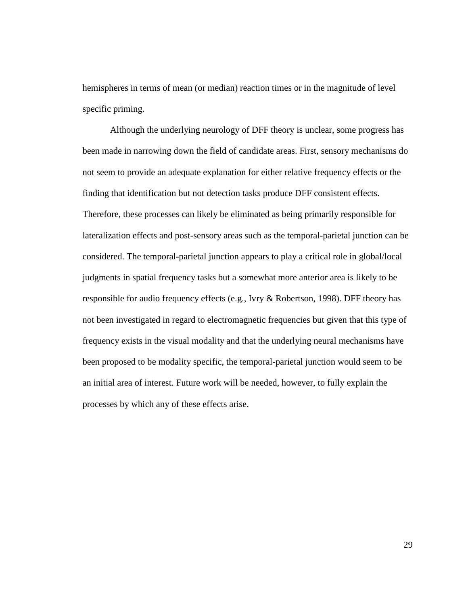hemispheres in terms of mean (or median) reaction times or in the magnitude of level specific priming.

Although the underlying neurology of DFF theory is unclear, some progress has been made in narrowing down the field of candidate areas. First, sensory mechanisms do not seem to provide an adequate explanation for either relative frequency effects or the finding that identification but not detection tasks produce DFF consistent effects. Therefore, these processes can likely be eliminated as being primarily responsible for lateralization effects and post-sensory areas such as the temporal-parietal junction can be considered. The temporal-parietal junction appears to play a critical role in global/local judgments in spatial frequency tasks but a somewhat more anterior area is likely to be responsible for audio frequency effects (e.g., Ivry & Robertson, 1998). DFF theory has not been investigated in regard to electromagnetic frequencies but given that this type of frequency exists in the visual modality and that the underlying neural mechanisms have been proposed to be modality specific, the temporal-parietal junction would seem to be an initial area of interest. Future work will be needed, however, to fully explain the processes by which any of these effects arise.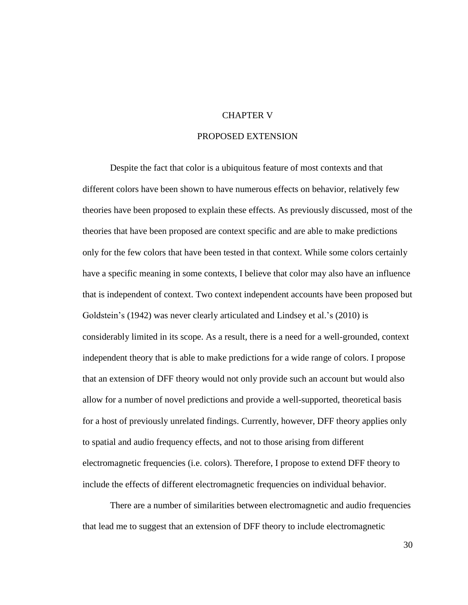## CHAPTER V

## PROPOSED EXTENSION

Despite the fact that color is a ubiquitous feature of most contexts and that different colors have been shown to have numerous effects on behavior, relatively few theories have been proposed to explain these effects. As previously discussed, most of the theories that have been proposed are context specific and are able to make predictions only for the few colors that have been tested in that context. While some colors certainly have a specific meaning in some contexts, I believe that color may also have an influence that is independent of context. Two context independent accounts have been proposed but Goldstein's (1942) was never clearly articulated and Lindsey et al.'s (2010) is considerably limited in its scope. As a result, there is a need for a well-grounded, context independent theory that is able to make predictions for a wide range of colors. I propose that an extension of DFF theory would not only provide such an account but would also allow for a number of novel predictions and provide a well-supported, theoretical basis for a host of previously unrelated findings. Currently, however, DFF theory applies only to spatial and audio frequency effects, and not to those arising from different electromagnetic frequencies (i.e. colors). Therefore, I propose to extend DFF theory to include the effects of different electromagnetic frequencies on individual behavior.

There are a number of similarities between electromagnetic and audio frequencies that lead me to suggest that an extension of DFF theory to include electromagnetic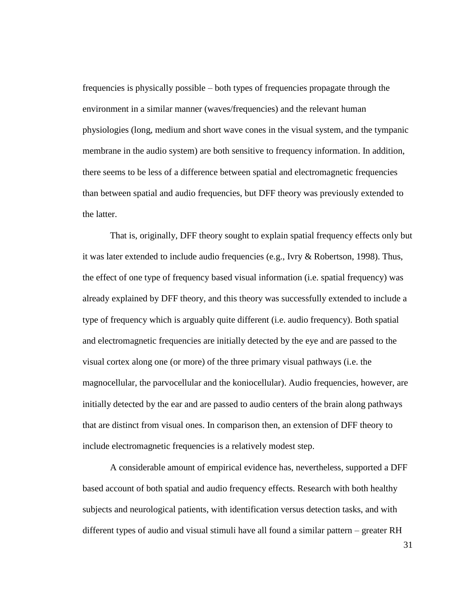frequencies is physically possible – both types of frequencies propagate through the environment in a similar manner (waves/frequencies) and the relevant human physiologies (long, medium and short wave cones in the visual system, and the tympanic membrane in the audio system) are both sensitive to frequency information. In addition, there seems to be less of a difference between spatial and electromagnetic frequencies than between spatial and audio frequencies, but DFF theory was previously extended to the latter.

That is, originally, DFF theory sought to explain spatial frequency effects only but it was later extended to include audio frequencies (e.g., Ivry  $& \text{Robertson}, 1998$ ). Thus, the effect of one type of frequency based visual information (i.e. spatial frequency) was already explained by DFF theory, and this theory was successfully extended to include a type of frequency which is arguably quite different (i.e. audio frequency). Both spatial and electromagnetic frequencies are initially detected by the eye and are passed to the visual cortex along one (or more) of the three primary visual pathways (i.e. the magnocellular, the parvocellular and the koniocellular). Audio frequencies, however, are initially detected by the ear and are passed to audio centers of the brain along pathways that are distinct from visual ones. In comparison then, an extension of DFF theory to include electromagnetic frequencies is a relatively modest step.

A considerable amount of empirical evidence has, nevertheless, supported a DFF based account of both spatial and audio frequency effects. Research with both healthy subjects and neurological patients, with identification versus detection tasks, and with different types of audio and visual stimuli have all found a similar pattern – greater RH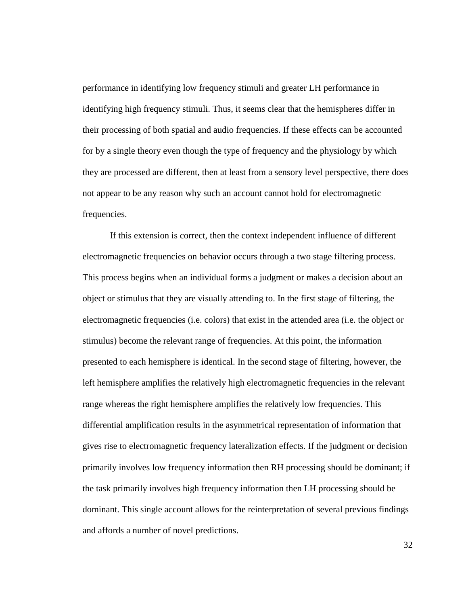performance in identifying low frequency stimuli and greater LH performance in identifying high frequency stimuli. Thus, it seems clear that the hemispheres differ in their processing of both spatial and audio frequencies. If these effects can be accounted for by a single theory even though the type of frequency and the physiology by which they are processed are different, then at least from a sensory level perspective, there does not appear to be any reason why such an account cannot hold for electromagnetic frequencies.

If this extension is correct, then the context independent influence of different electromagnetic frequencies on behavior occurs through a two stage filtering process. This process begins when an individual forms a judgment or makes a decision about an object or stimulus that they are visually attending to. In the first stage of filtering, the electromagnetic frequencies (i.e. colors) that exist in the attended area (i.e. the object or stimulus) become the relevant range of frequencies. At this point, the information presented to each hemisphere is identical. In the second stage of filtering, however, the left hemisphere amplifies the relatively high electromagnetic frequencies in the relevant range whereas the right hemisphere amplifies the relatively low frequencies. This differential amplification results in the asymmetrical representation of information that gives rise to electromagnetic frequency lateralization effects. If the judgment or decision primarily involves low frequency information then RH processing should be dominant; if the task primarily involves high frequency information then LH processing should be dominant. This single account allows for the reinterpretation of several previous findings and affords a number of novel predictions.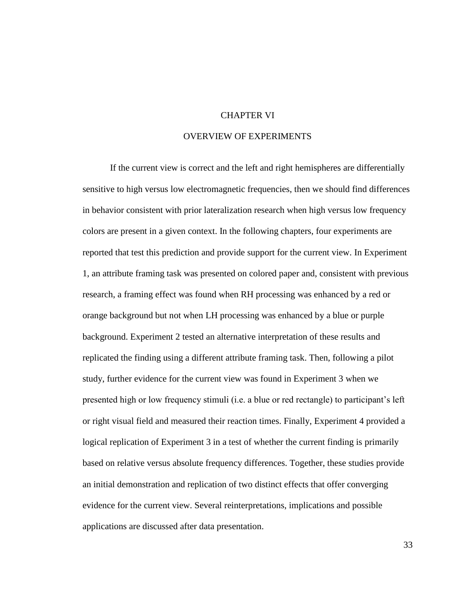## CHAPTER VI

## OVERVIEW OF EXPERIMENTS

If the current view is correct and the left and right hemispheres are differentially sensitive to high versus low electromagnetic frequencies, then we should find differences in behavior consistent with prior lateralization research when high versus low frequency colors are present in a given context. In the following chapters, four experiments are reported that test this prediction and provide support for the current view. In Experiment 1, an attribute framing task was presented on colored paper and, consistent with previous research, a framing effect was found when RH processing was enhanced by a red or orange background but not when LH processing was enhanced by a blue or purple background. Experiment 2 tested an alternative interpretation of these results and replicated the finding using a different attribute framing task. Then, following a pilot study, further evidence for the current view was found in Experiment 3 when we presented high or low frequency stimuli (i.e. a blue or red rectangle) to participant's left or right visual field and measured their reaction times. Finally, Experiment 4 provided a logical replication of Experiment 3 in a test of whether the current finding is primarily based on relative versus absolute frequency differences. Together, these studies provide an initial demonstration and replication of two distinct effects that offer converging evidence for the current view. Several reinterpretations, implications and possible applications are discussed after data presentation.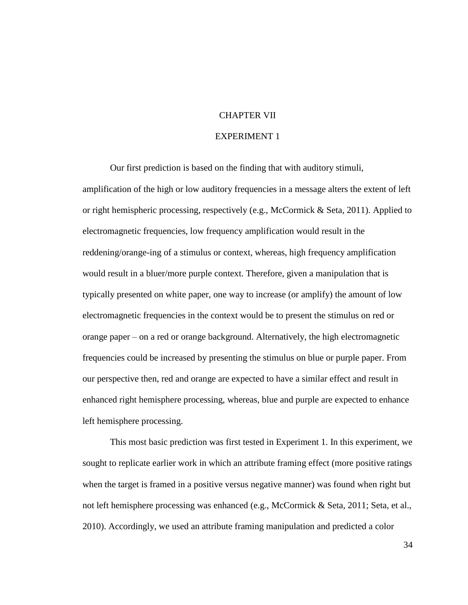# CHAPTER VII

## EXPERIMENT 1

Our first prediction is based on the finding that with auditory stimuli, amplification of the high or low auditory frequencies in a message alters the extent of left or right hemispheric processing, respectively (e.g., McCormick & Seta, 2011). Applied to electromagnetic frequencies, low frequency amplification would result in the reddening/orange-ing of a stimulus or context, whereas, high frequency amplification would result in a bluer/more purple context. Therefore, given a manipulation that is typically presented on white paper, one way to increase (or amplify) the amount of low electromagnetic frequencies in the context would be to present the stimulus on red or orange paper – on a red or orange background. Alternatively, the high electromagnetic frequencies could be increased by presenting the stimulus on blue or purple paper. From our perspective then, red and orange are expected to have a similar effect and result in enhanced right hemisphere processing, whereas, blue and purple are expected to enhance left hemisphere processing.

This most basic prediction was first tested in Experiment 1. In this experiment, we sought to replicate earlier work in which an attribute framing effect (more positive ratings when the target is framed in a positive versus negative manner) was found when right but not left hemisphere processing was enhanced (e.g., McCormick & Seta, 2011; Seta, et al., 2010). Accordingly, we used an attribute framing manipulation and predicted a color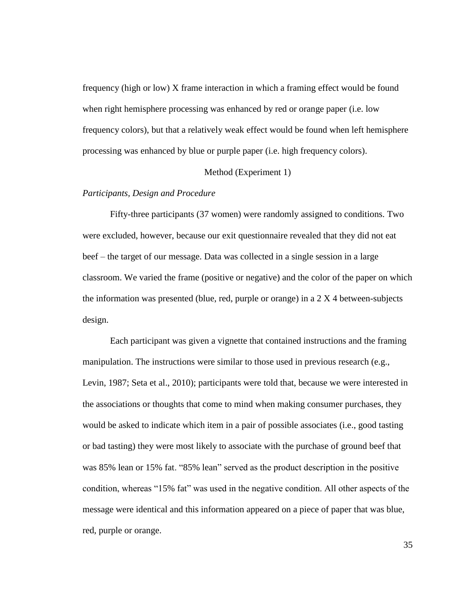frequency (high or low) X frame interaction in which a framing effect would be found when right hemisphere processing was enhanced by red or orange paper (i.e. low frequency colors), but that a relatively weak effect would be found when left hemisphere processing was enhanced by blue or purple paper (i.e. high frequency colors).

### Method (Experiment 1)

### *Participants, Design and Procedure*

Fifty-three participants (37 women) were randomly assigned to conditions. Two were excluded, however, because our exit questionnaire revealed that they did not eat beef – the target of our message. Data was collected in a single session in a large classroom. We varied the frame (positive or negative) and the color of the paper on which the information was presented (blue, red, purple or orange) in a  $2 \times 4$  between-subjects design.

Each participant was given a vignette that contained instructions and the framing manipulation. The instructions were similar to those used in previous research (e.g., Levin, 1987; Seta et al., 2010); participants were told that, because we were interested in the associations or thoughts that come to mind when making consumer purchases, they would be asked to indicate which item in a pair of possible associates (i.e., good tasting or bad tasting) they were most likely to associate with the purchase of ground beef that was 85% lean or 15% fat. "85% lean" served as the product description in the positive condition, whereas "15% fat" was used in the negative condition. All other aspects of the message were identical and this information appeared on a piece of paper that was blue, red, purple or orange.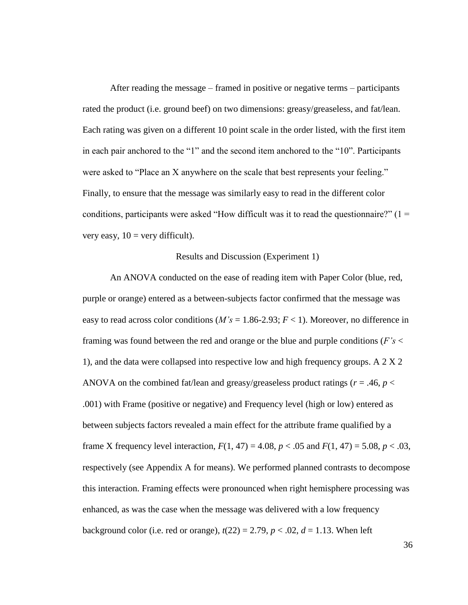After reading the message – framed in positive or negative terms – participants rated the product (i.e. ground beef) on two dimensions: greasy/greaseless, and fat/lean. Each rating was given on a different 10 point scale in the order listed, with the first item in each pair anchored to the "1" and the second item anchored to the "10". Participants were asked to "Place an X anywhere on the scale that best represents your feeling." Finally, to ensure that the message was similarly easy to read in the different color conditions, participants were asked "How difficult was it to read the questionnaire?"  $(1 =$ very easy,  $10 =$  very difficult).

#### Results and Discussion (Experiment 1)

An ANOVA conducted on the ease of reading item with Paper Color (blue, red, purple or orange) entered as a between-subjects factor confirmed that the message was easy to read across color conditions (*M's* = 1.86-2.93; *F* < 1). Moreover, no difference in framing was found between the red and orange or the blue and purple conditions (*F's* < 1), and the data were collapsed into respective low and high frequency groups. A 2 X 2 ANOVA on the combined fat/lean and greasy/greaseless product ratings ( $r = .46$ ,  $p <$ .001) with Frame (positive or negative) and Frequency level (high or low) entered as between subjects factors revealed a main effect for the attribute frame qualified by a frame X frequency level interaction,  $F(1, 47) = 4.08$ ,  $p < .05$  and  $F(1, 47) = 5.08$ ,  $p < .03$ , respectively (see Appendix A for means). We performed planned contrasts to decompose this interaction. Framing effects were pronounced when right hemisphere processing was enhanced, as was the case when the message was delivered with a low frequency background color (i.e. red or orange),  $t(22) = 2.79$ ,  $p < .02$ ,  $d = 1.13$ . When left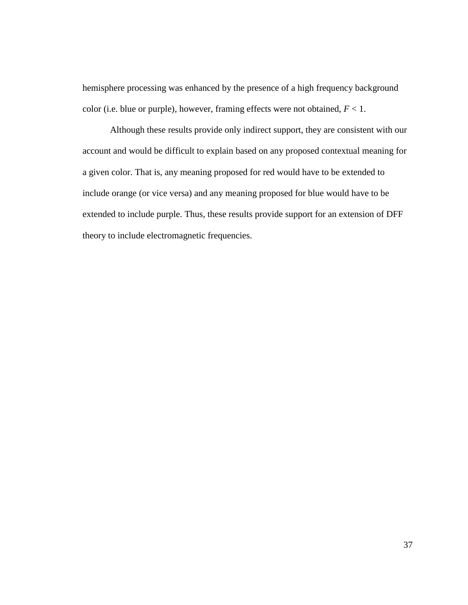hemisphere processing was enhanced by the presence of a high frequency background color (i.e. blue or purple), however, framing effects were not obtained,  $F < 1$ .

Although these results provide only indirect support, they are consistent with our account and would be difficult to explain based on any proposed contextual meaning for a given color. That is, any meaning proposed for red would have to be extended to include orange (or vice versa) and any meaning proposed for blue would have to be extended to include purple. Thus, these results provide support for an extension of DFF theory to include electromagnetic frequencies.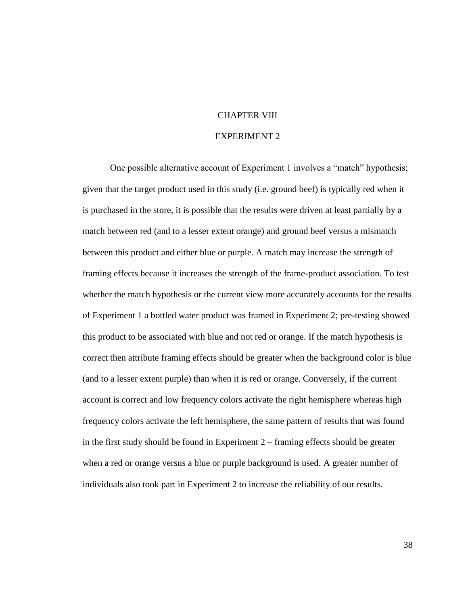### CHAPTER VIII

## EXPERIMENT 2

One possible alternative account of Experiment 1 involves a "match" hypothesis; given that the target product used in this study (i.e. ground beef) is typically red when it is purchased in the store, it is possible that the results were driven at least partially by a match between red (and to a lesser extent orange) and ground beef versus a mismatch between this product and either blue or purple. A match may increase the strength of framing effects because it increases the strength of the frame-product association. To test whether the match hypothesis or the current view more accurately accounts for the results of Experiment 1 a bottled water product was framed in Experiment 2; pre-testing showed this product to be associated with blue and not red or orange. If the match hypothesis is correct then attribute framing effects should be greater when the background color is blue (and to a lesser extent purple) than when it is red or orange. Conversely, if the current account is correct and low frequency colors activate the right hemisphere whereas high frequency colors activate the left hemisphere, the same pattern of results that was found in the first study should be found in Experiment 2 – framing effects should be greater when a red or orange versus a blue or purple background is used. A greater number of individuals also took part in Experiment 2 to increase the reliability of our results.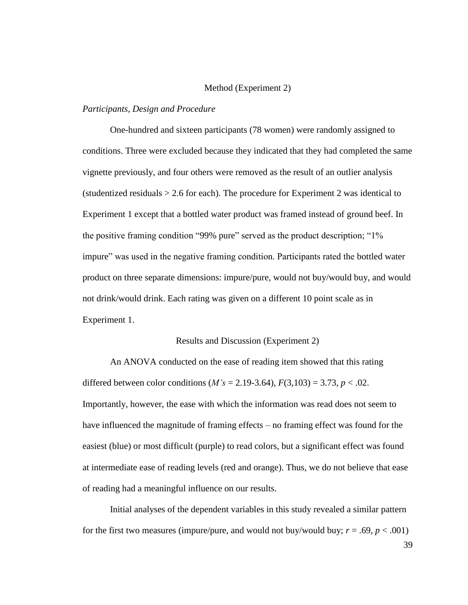#### Method (Experiment 2)

### *Participants, Design and Procedure*

One-hundred and sixteen participants (78 women) were randomly assigned to conditions. Three were excluded because they indicated that they had completed the same vignette previously, and four others were removed as the result of an outlier analysis (studentized residuals  $> 2.6$  for each). The procedure for Experiment 2 was identical to Experiment 1 except that a bottled water product was framed instead of ground beef. In the positive framing condition "99% pure" served as the product description; "1% impure" was used in the negative framing condition. Participants rated the bottled water product on three separate dimensions: impure/pure, would not buy/would buy, and would not drink/would drink. Each rating was given on a different 10 point scale as in Experiment 1.

#### Results and Discussion (Experiment 2)

An ANOVA conducted on the ease of reading item showed that this rating differed between color conditions  $(M's = 2.19-3.64)$ ,  $F(3,103) = 3.73$ ,  $p < .02$ . Importantly, however, the ease with which the information was read does not seem to have influenced the magnitude of framing effects – no framing effect was found for the easiest (blue) or most difficult (purple) to read colors, but a significant effect was found at intermediate ease of reading levels (red and orange). Thus, we do not believe that ease of reading had a meaningful influence on our results.

Initial analyses of the dependent variables in this study revealed a similar pattern for the first two measures (impure/pure, and would not buy/would buy;  $r = .69$ ,  $p < .001$ )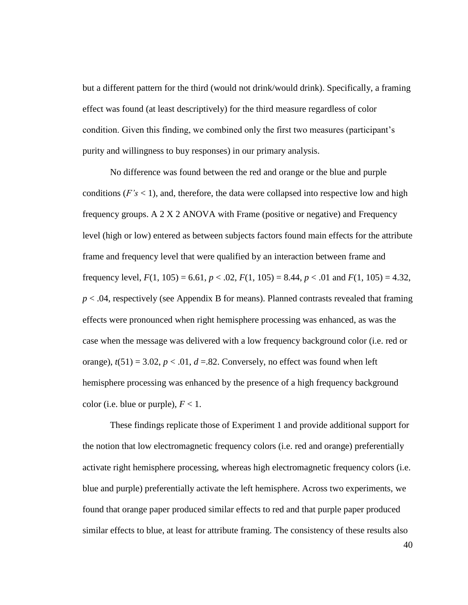but a different pattern for the third (would not drink/would drink). Specifically, a framing effect was found (at least descriptively) for the third measure regardless of color condition. Given this finding, we combined only the first two measures (participant's purity and willingness to buy responses) in our primary analysis.

No difference was found between the red and orange or the blue and purple conditions  $(F's < 1)$ , and, therefore, the data were collapsed into respective low and high frequency groups. A 2 X 2 ANOVA with Frame (positive or negative) and Frequency level (high or low) entered as between subjects factors found main effects for the attribute frame and frequency level that were qualified by an interaction between frame and frequency level,  $F(1, 105) = 6.61$ ,  $p < .02$ ,  $F(1, 105) = 8.44$ ,  $p < .01$  and  $F(1, 105) = 4.32$ ,  $p < .04$ , respectively (see Appendix B for means). Planned contrasts revealed that framing effects were pronounced when right hemisphere processing was enhanced, as was the case when the message was delivered with a low frequency background color (i.e. red or orange),  $t(51) = 3.02$ ,  $p < .01$ ,  $d = .82$ . Conversely, no effect was found when left hemisphere processing was enhanced by the presence of a high frequency background color (i.e. blue or purple),  $F < 1$ .

These findings replicate those of Experiment 1 and provide additional support for the notion that low electromagnetic frequency colors (i.e. red and orange) preferentially activate right hemisphere processing, whereas high electromagnetic frequency colors (i.e. blue and purple) preferentially activate the left hemisphere. Across two experiments, we found that orange paper produced similar effects to red and that purple paper produced similar effects to blue, at least for attribute framing. The consistency of these results also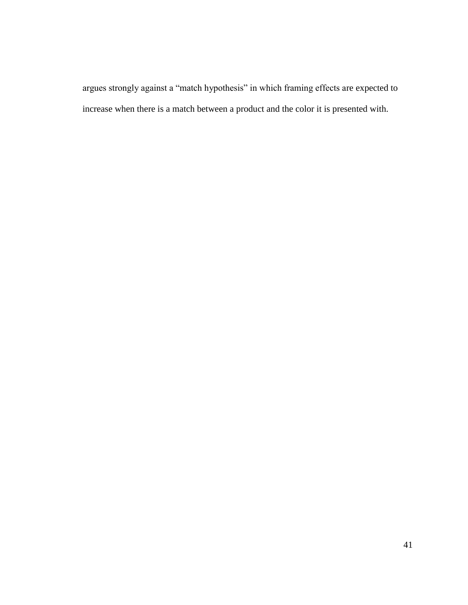argues strongly against a "match hypothesis" in which framing effects are expected to increase when there is a match between a product and the color it is presented with.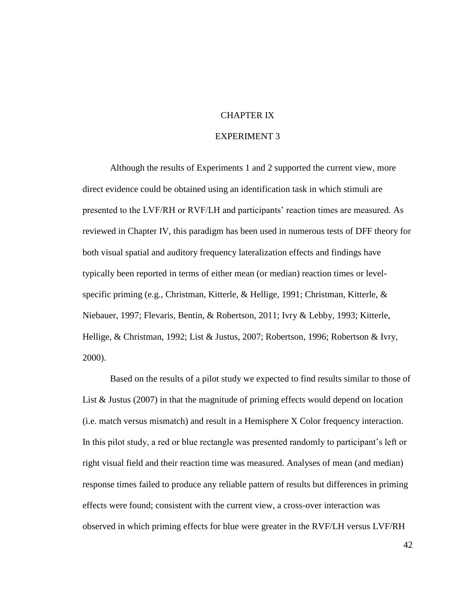# CHAPTER IX

# EXPERIMENT 3

Although the results of Experiments 1 and 2 supported the current view, more direct evidence could be obtained using an identification task in which stimuli are presented to the LVF/RH or RVF/LH and participants' reaction times are measured. As reviewed in Chapter IV, this paradigm has been used in numerous tests of DFF theory for both visual spatial and auditory frequency lateralization effects and findings have typically been reported in terms of either mean (or median) reaction times or levelspecific priming (e.g., Christman, Kitterle, & Hellige, 1991; Christman, Kitterle, & Niebauer, 1997; Flevaris, Bentin, & Robertson, 2011; Ivry & Lebby, 1993; Kitterle, Hellige, & Christman, 1992; List & Justus, 2007; Robertson, 1996; Robertson & Ivry, 2000).

Based on the results of a pilot study we expected to find results similar to those of List & Justus (2007) in that the magnitude of priming effects would depend on location (i.e. match versus mismatch) and result in a Hemisphere X Color frequency interaction. In this pilot study, a red or blue rectangle was presented randomly to participant's left or right visual field and their reaction time was measured. Analyses of mean (and median) response times failed to produce any reliable pattern of results but differences in priming effects were found; consistent with the current view, a cross-over interaction was observed in which priming effects for blue were greater in the RVF/LH versus LVF/RH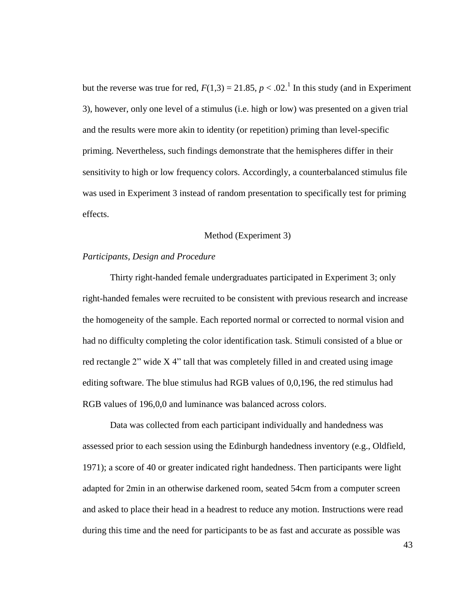but the reverse was true for red,  $F(1,3) = 21.85$ ,  $p < .02$ .<sup>1</sup> In this study (and in Experiment 3), however, only one level of a stimulus (i.e. high or low) was presented on a given trial and the results were more akin to identity (or repetition) priming than level-specific priming. Nevertheless, such findings demonstrate that the hemispheres differ in their sensitivity to high or low frequency colors. Accordingly, a counterbalanced stimulus file was used in Experiment 3 instead of random presentation to specifically test for priming effects.

### Method (Experiment 3)

### *Participants, Design and Procedure*

Thirty right-handed female undergraduates participated in Experiment 3; only right-handed females were recruited to be consistent with previous research and increase the homogeneity of the sample. Each reported normal or corrected to normal vision and had no difficulty completing the color identification task. Stimuli consisted of a blue or red rectangle 2" wide X 4" tall that was completely filled in and created using image editing software. The blue stimulus had RGB values of 0,0,196, the red stimulus had RGB values of 196,0,0 and luminance was balanced across colors.

Data was collected from each participant individually and handedness was assessed prior to each session using the Edinburgh handedness inventory (e.g., Oldfield, 1971); a score of 40 or greater indicated right handedness. Then participants were light adapted for 2min in an otherwise darkened room, seated 54cm from a computer screen and asked to place their head in a headrest to reduce any motion. Instructions were read during this time and the need for participants to be as fast and accurate as possible was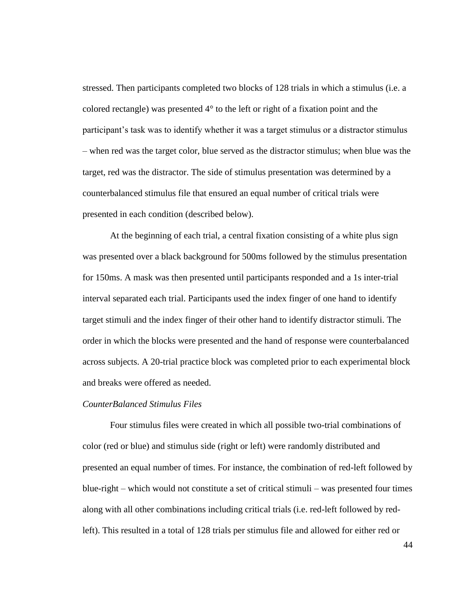stressed. Then participants completed two blocks of 128 trials in which a stimulus (i.e. a colored rectangle) was presented 4° to the left or right of a fixation point and the participant's task was to identify whether it was a target stimulus or a distractor stimulus – when red was the target color, blue served as the distractor stimulus; when blue was the target, red was the distractor. The side of stimulus presentation was determined by a counterbalanced stimulus file that ensured an equal number of critical trials were presented in each condition (described below).

At the beginning of each trial, a central fixation consisting of a white plus sign was presented over a black background for 500ms followed by the stimulus presentation for 150ms. A mask was then presented until participants responded and a 1s inter-trial interval separated each trial. Participants used the index finger of one hand to identify target stimuli and the index finger of their other hand to identify distractor stimuli. The order in which the blocks were presented and the hand of response were counterbalanced across subjects. A 20-trial practice block was completed prior to each experimental block and breaks were offered as needed.

## *CounterBalanced Stimulus Files*

Four stimulus files were created in which all possible two-trial combinations of color (red or blue) and stimulus side (right or left) were randomly distributed and presented an equal number of times. For instance, the combination of red-left followed by blue-right – which would not constitute a set of critical stimuli – was presented four times along with all other combinations including critical trials (i.e. red-left followed by redleft). This resulted in a total of 128 trials per stimulus file and allowed for either red or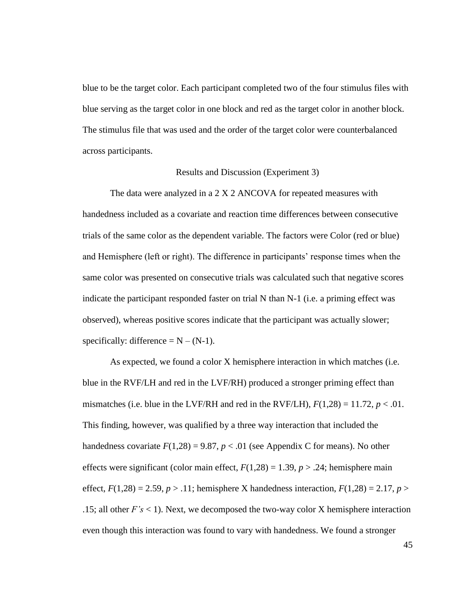blue to be the target color. Each participant completed two of the four stimulus files with blue serving as the target color in one block and red as the target color in another block. The stimulus file that was used and the order of the target color were counterbalanced across participants.

#### Results and Discussion (Experiment 3)

The data were analyzed in a 2 X 2 ANCOVA for repeated measures with handedness included as a covariate and reaction time differences between consecutive trials of the same color as the dependent variable. The factors were Color (red or blue) and Hemisphere (left or right). The difference in participants' response times when the same color was presented on consecutive trials was calculated such that negative scores indicate the participant responded faster on trial N than N-1 (i.e. a priming effect was observed), whereas positive scores indicate that the participant was actually slower; specifically: difference  $= N - (N-1)$ .

As expected, we found a color X hemisphere interaction in which matches (i.e. blue in the RVF/LH and red in the LVF/RH) produced a stronger priming effect than mismatches (i.e. blue in the LVF/RH and red in the RVF/LH),  $F(1,28) = 11.72$ ,  $p < .01$ . This finding, however, was qualified by a three way interaction that included the handedness covariate  $F(1,28) = 9.87$ ,  $p < .01$  (see Appendix C for means). No other effects were significant (color main effect,  $F(1,28) = 1.39$ ,  $p > .24$ ; hemisphere main effect,  $F(1,28) = 2.59, p > 0.11$ ; hemisphere X handedness interaction,  $F(1,28) = 2.17, p > 0.11$ .15; all other *F's* < 1). Next, we decomposed the two-way color X hemisphere interaction even though this interaction was found to vary with handedness. We found a stronger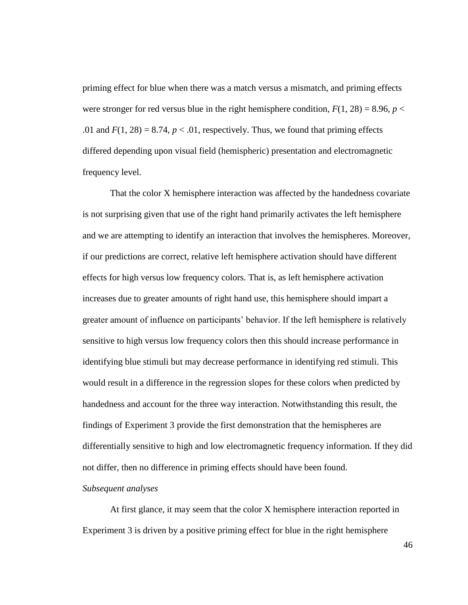priming effect for blue when there was a match versus a mismatch, and priming effects were stronger for red versus blue in the right hemisphere condition,  $F(1, 28) = 8.96$ ,  $p <$ .01 and  $F(1, 28) = 8.74$ ,  $p < .01$ , respectively. Thus, we found that priming effects differed depending upon visual field (hemispheric) presentation and electromagnetic frequency level.

That the color X hemisphere interaction was affected by the handedness covariate is not surprising given that use of the right hand primarily activates the left hemisphere and we are attempting to identify an interaction that involves the hemispheres. Moreover, if our predictions are correct, relative left hemisphere activation should have different effects for high versus low frequency colors. That is, as left hemisphere activation increases due to greater amounts of right hand use, this hemisphere should impart a greater amount of influence on participants' behavior. If the left hemisphere is relatively sensitive to high versus low frequency colors then this should increase performance in identifying blue stimuli but may decrease performance in identifying red stimuli. This would result in a difference in the regression slopes for these colors when predicted by handedness and account for the three way interaction. Notwithstanding this result, the findings of Experiment 3 provide the first demonstration that the hemispheres are differentially sensitive to high and low electromagnetic frequency information. If they did not differ, then no difference in priming effects should have been found.

#### *Subsequent analyses*

At first glance, it may seem that the color X hemisphere interaction reported in Experiment 3 is driven by a positive priming effect for blue in the right hemisphere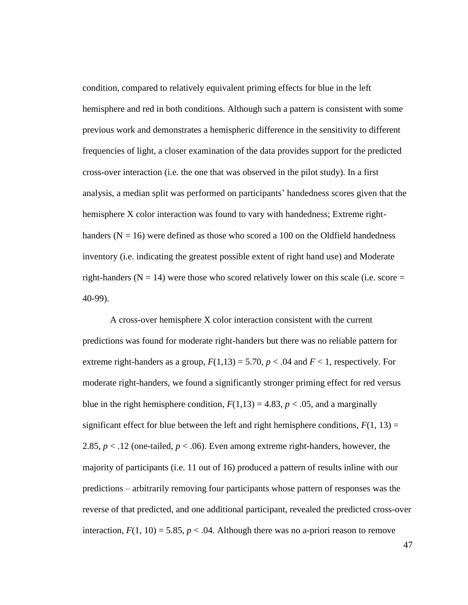condition, compared to relatively equivalent priming effects for blue in the left hemisphere and red in both conditions. Although such a pattern is consistent with some previous work and demonstrates a hemispheric difference in the sensitivity to different frequencies of light, a closer examination of the data provides support for the predicted cross-over interaction (i.e. the one that was observed in the pilot study). In a first analysis, a median split was performed on participants' handedness scores given that the hemisphere X color interaction was found to vary with handedness; Extreme righthanders ( $N = 16$ ) were defined as those who scored a 100 on the Oldfield handedness inventory (i.e. indicating the greatest possible extent of right hand use) and Moderate right-handers ( $N = 14$ ) were those who scored relatively lower on this scale (i.e. score  $=$ 40-99).

A cross-over hemisphere X color interaction consistent with the current predictions was found for moderate right-handers but there was no reliable pattern for extreme right-handers as a group,  $F(1,13) = 5.70$ ,  $p < .04$  and  $F < 1$ , respectively. For moderate right-handers, we found a significantly stronger priming effect for red versus blue in the right hemisphere condition,  $F(1,13) = 4.83$ ,  $p < .05$ , and a marginally significant effect for blue between the left and right hemisphere conditions,  $F(1, 13) =$ 2.85,  $p < 0.12$  (one-tailed,  $p < 0.06$ ). Even among extreme right-handers, however, the majority of participants (i.e. 11 out of 16) produced a pattern of results inline with our predictions – arbitrarily removing four participants whose pattern of responses was the reverse of that predicted, and one additional participant, revealed the predicted cross-over interaction,  $F(1, 10) = 5.85$ ,  $p < .04$ . Although there was no a-priori reason to remove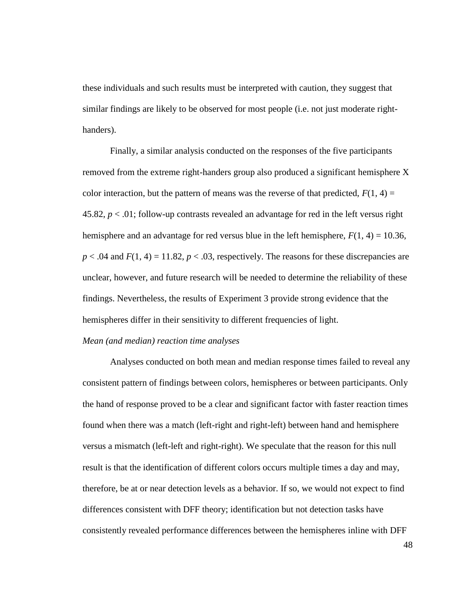these individuals and such results must be interpreted with caution, they suggest that similar findings are likely to be observed for most people (i.e. not just moderate righthanders).

Finally, a similar analysis conducted on the responses of the five participants removed from the extreme right-handers group also produced a significant hemisphere X color interaction, but the pattern of means was the reverse of that predicted,  $F(1, 4) =$ 45.82, *p* < .01; follow-up contrasts revealed an advantage for red in the left versus right hemisphere and an advantage for red versus blue in the left hemisphere,  $F(1, 4) = 10.36$ ,  $p < .04$  and  $F(1, 4) = 11.82$ ,  $p < .03$ , respectively. The reasons for these discrepancies are unclear, however, and future research will be needed to determine the reliability of these findings. Nevertheless, the results of Experiment 3 provide strong evidence that the hemispheres differ in their sensitivity to different frequencies of light.

#### *Mean (and median) reaction time analyses*

Analyses conducted on both mean and median response times failed to reveal any consistent pattern of findings between colors, hemispheres or between participants. Only the hand of response proved to be a clear and significant factor with faster reaction times found when there was a match (left-right and right-left) between hand and hemisphere versus a mismatch (left-left and right-right). We speculate that the reason for this null result is that the identification of different colors occurs multiple times a day and may, therefore, be at or near detection levels as a behavior. If so, we would not expect to find differences consistent with DFF theory; identification but not detection tasks have consistently revealed performance differences between the hemispheres inline with DFF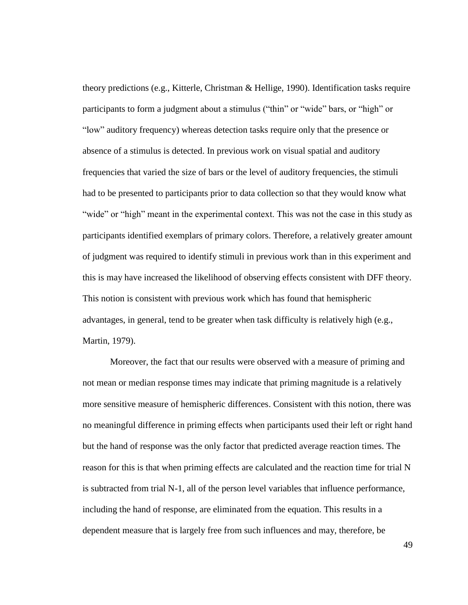theory predictions (e.g., Kitterle, Christman & Hellige, 1990). Identification tasks require participants to form a judgment about a stimulus ("thin" or "wide" bars, or "high" or "low" auditory frequency) whereas detection tasks require only that the presence or absence of a stimulus is detected. In previous work on visual spatial and auditory frequencies that varied the size of bars or the level of auditory frequencies, the stimuli had to be presented to participants prior to data collection so that they would know what "wide" or "high" meant in the experimental context. This was not the case in this study as participants identified exemplars of primary colors. Therefore, a relatively greater amount of judgment was required to identify stimuli in previous work than in this experiment and this is may have increased the likelihood of observing effects consistent with DFF theory. This notion is consistent with previous work which has found that hemispheric advantages, in general, tend to be greater when task difficulty is relatively high (e.g., Martin, 1979).

Moreover, the fact that our results were observed with a measure of priming and not mean or median response times may indicate that priming magnitude is a relatively more sensitive measure of hemispheric differences. Consistent with this notion, there was no meaningful difference in priming effects when participants used their left or right hand but the hand of response was the only factor that predicted average reaction times. The reason for this is that when priming effects are calculated and the reaction time for trial N is subtracted from trial N-1, all of the person level variables that influence performance, including the hand of response, are eliminated from the equation. This results in a dependent measure that is largely free from such influences and may, therefore, be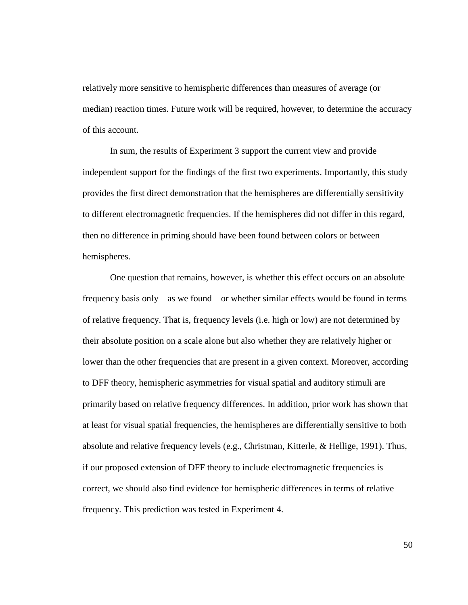relatively more sensitive to hemispheric differences than measures of average (or median) reaction times. Future work will be required, however, to determine the accuracy of this account.

In sum, the results of Experiment 3 support the current view and provide independent support for the findings of the first two experiments. Importantly, this study provides the first direct demonstration that the hemispheres are differentially sensitivity to different electromagnetic frequencies. If the hemispheres did not differ in this regard, then no difference in priming should have been found between colors or between hemispheres.

One question that remains, however, is whether this effect occurs on an absolute frequency basis only – as we found – or whether similar effects would be found in terms of relative frequency. That is, frequency levels (i.e. high or low) are not determined by their absolute position on a scale alone but also whether they are relatively higher or lower than the other frequencies that are present in a given context. Moreover, according to DFF theory, hemispheric asymmetries for visual spatial and auditory stimuli are primarily based on relative frequency differences. In addition, prior work has shown that at least for visual spatial frequencies, the hemispheres are differentially sensitive to both absolute and relative frequency levels (e.g., Christman, Kitterle, & Hellige, 1991). Thus, if our proposed extension of DFF theory to include electromagnetic frequencies is correct, we should also find evidence for hemispheric differences in terms of relative frequency. This prediction was tested in Experiment 4.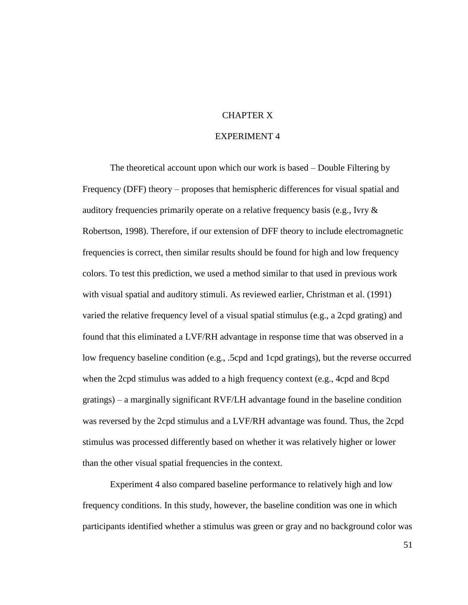# CHAPTER X

### EXPERIMENT 4

The theoretical account upon which our work is based – Double Filtering by Frequency (DFF) theory – proposes that hemispheric differences for visual spatial and auditory frequencies primarily operate on a relative frequency basis (e.g., Ivry & Robertson, 1998). Therefore, if our extension of DFF theory to include electromagnetic frequencies is correct, then similar results should be found for high and low frequency colors. To test this prediction, we used a method similar to that used in previous work with visual spatial and auditory stimuli. As reviewed earlier, Christman et al. (1991) varied the relative frequency level of a visual spatial stimulus (e.g., a 2cpd grating) and found that this eliminated a LVF/RH advantage in response time that was observed in a low frequency baseline condition (e.g., .5cpd and 1cpd gratings), but the reverse occurred when the 2cpd stimulus was added to a high frequency context (e.g., 4cpd and 8cpd gratings) – a marginally significant RVF/LH advantage found in the baseline condition was reversed by the 2cpd stimulus and a LVF/RH advantage was found. Thus, the 2cpd stimulus was processed differently based on whether it was relatively higher or lower than the other visual spatial frequencies in the context.

Experiment 4 also compared baseline performance to relatively high and low frequency conditions. In this study, however, the baseline condition was one in which participants identified whether a stimulus was green or gray and no background color was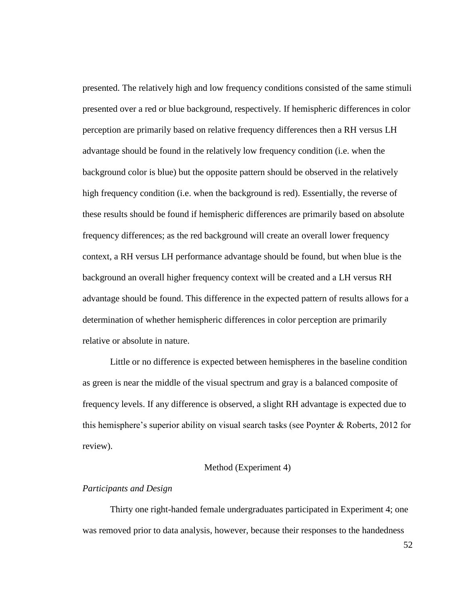presented. The relatively high and low frequency conditions consisted of the same stimuli presented over a red or blue background, respectively. If hemispheric differences in color perception are primarily based on relative frequency differences then a RH versus LH advantage should be found in the relatively low frequency condition (i.e. when the background color is blue) but the opposite pattern should be observed in the relatively high frequency condition (i.e. when the background is red). Essentially, the reverse of these results should be found if hemispheric differences are primarily based on absolute frequency differences; as the red background will create an overall lower frequency context, a RH versus LH performance advantage should be found, but when blue is the background an overall higher frequency context will be created and a LH versus RH advantage should be found. This difference in the expected pattern of results allows for a determination of whether hemispheric differences in color perception are primarily relative or absolute in nature.

Little or no difference is expected between hemispheres in the baseline condition as green is near the middle of the visual spectrum and gray is a balanced composite of frequency levels. If any difference is observed, a slight RH advantage is expected due to this hemisphere's superior ability on visual search tasks (see Poynter  $\&$  Roberts, 2012 for review).

### Method (Experiment 4)

### *Participants and Design*

Thirty one right-handed female undergraduates participated in Experiment 4; one was removed prior to data analysis, however, because their responses to the handedness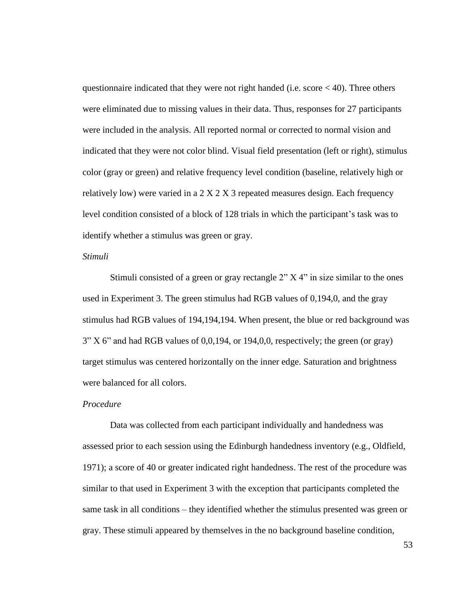questionnaire indicated that they were not right handed (i.e. score < 40). Three others were eliminated due to missing values in their data. Thus, responses for 27 participants were included in the analysis. All reported normal or corrected to normal vision and indicated that they were not color blind. Visual field presentation (left or right), stimulus color (gray or green) and relative frequency level condition (baseline, relatively high or relatively low) were varied in a 2 X 2 X 3 repeated measures design. Each frequency level condition consisted of a block of 128 trials in which the participant's task was to identify whether a stimulus was green or gray.

### *Stimuli*

Stimuli consisted of a green or gray rectangle 2" X 4" in size similar to the ones used in Experiment 3. The green stimulus had RGB values of 0,194,0, and the gray stimulus had RGB values of 194,194,194. When present, the blue or red background was  $3" X 6"$  and had RGB values of 0,0,194, or 194,0,0, respectively; the green (or gray) target stimulus was centered horizontally on the inner edge. Saturation and brightness were balanced for all colors.

## *Procedure*

Data was collected from each participant individually and handedness was assessed prior to each session using the Edinburgh handedness inventory (e.g., Oldfield, 1971); a score of 40 or greater indicated right handedness. The rest of the procedure was similar to that used in Experiment 3 with the exception that participants completed the same task in all conditions – they identified whether the stimulus presented was green or gray. These stimuli appeared by themselves in the no background baseline condition,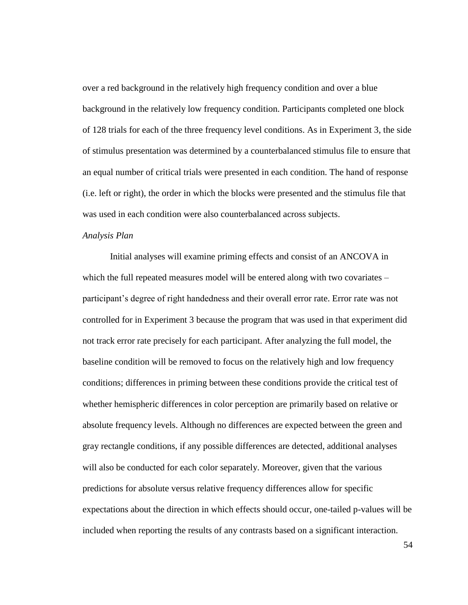over a red background in the relatively high frequency condition and over a blue background in the relatively low frequency condition. Participants completed one block of 128 trials for each of the three frequency level conditions. As in Experiment 3, the side of stimulus presentation was determined by a counterbalanced stimulus file to ensure that an equal number of critical trials were presented in each condition. The hand of response (i.e. left or right), the order in which the blocks were presented and the stimulus file that was used in each condition were also counterbalanced across subjects.

#### *Analysis Plan*

Initial analyses will examine priming effects and consist of an ANCOVA in which the full repeated measures model will be entered along with two covariates participant's degree of right handedness and their overall error rate. Error rate was not controlled for in Experiment 3 because the program that was used in that experiment did not track error rate precisely for each participant. After analyzing the full model, the baseline condition will be removed to focus on the relatively high and low frequency conditions; differences in priming between these conditions provide the critical test of whether hemispheric differences in color perception are primarily based on relative or absolute frequency levels. Although no differences are expected between the green and gray rectangle conditions, if any possible differences are detected, additional analyses will also be conducted for each color separately. Moreover, given that the various predictions for absolute versus relative frequency differences allow for specific expectations about the direction in which effects should occur, one-tailed p-values will be included when reporting the results of any contrasts based on a significant interaction.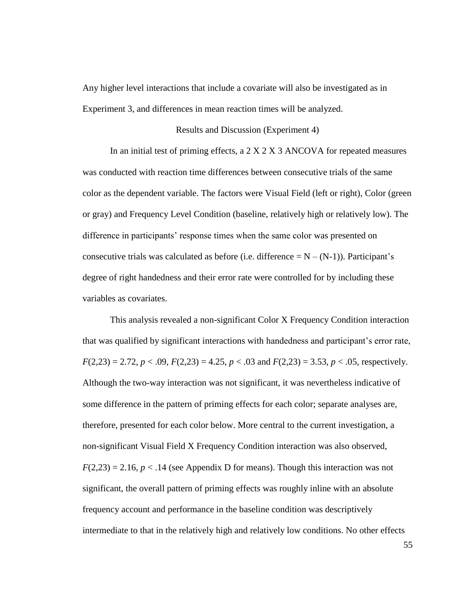Any higher level interactions that include a covariate will also be investigated as in Experiment 3, and differences in mean reaction times will be analyzed.

#### Results and Discussion (Experiment 4)

In an initial test of priming effects, a  $2 \times 2 \times 3$  ANCOVA for repeated measures was conducted with reaction time differences between consecutive trials of the same color as the dependent variable. The factors were Visual Field (left or right), Color (green or gray) and Frequency Level Condition (baseline, relatively high or relatively low). The difference in participants' response times when the same color was presented on consecutive trials was calculated as before (i.e. difference  $= N - (N-1)$ ). Participant's degree of right handedness and their error rate were controlled for by including these variables as covariates.

This analysis revealed a non-significant Color X Frequency Condition interaction that was qualified by significant interactions with handedness and participant's error rate,  $F(2,23) = 2.72$ ,  $p < .09$ ,  $F(2,23) = 4.25$ ,  $p < .03$  and  $F(2,23) = 3.53$ ,  $p < .05$ , respectively. Although the two-way interaction was not significant, it was nevertheless indicative of some difference in the pattern of priming effects for each color; separate analyses are, therefore, presented for each color below. More central to the current investigation, a non-significant Visual Field X Frequency Condition interaction was also observed,  $F(2,23) = 2.16$ ,  $p < 0.14$  (see Appendix D for means). Though this interaction was not significant, the overall pattern of priming effects was roughly inline with an absolute frequency account and performance in the baseline condition was descriptively intermediate to that in the relatively high and relatively low conditions. No other effects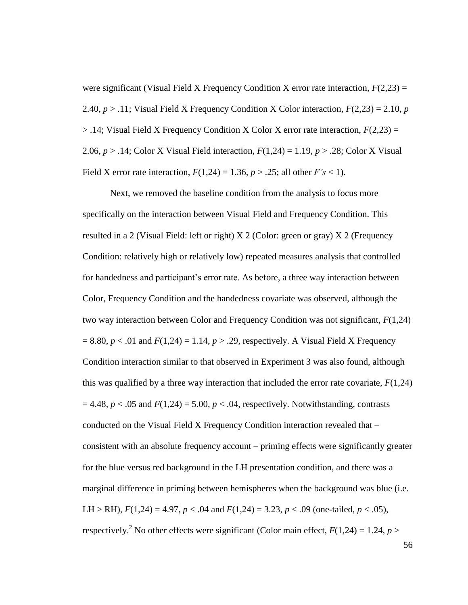were significant (Visual Field X Frequency Condition X error rate interaction,  $F(2,23) =$ 2.40, *p* > .11; Visual Field X Frequency Condition X Color interaction, *F*(2,23) = 2.10, *p* > .14; Visual Field X Frequency Condition X Color X error rate interaction, *F*(2,23) = 2.06, *p* > .14; Color X Visual Field interaction, *F*(1,24) = 1.19, *p* > .28; Color X Visual Field X error rate interaction,  $F(1,24) = 1.36$ ,  $p > 0.25$ ; all other  $F's < 1$ .

Next, we removed the baseline condition from the analysis to focus more specifically on the interaction between Visual Field and Frequency Condition. This resulted in a 2 (Visual Field: left or right) X 2 (Color: green or gray) X 2 (Frequency Condition: relatively high or relatively low) repeated measures analysis that controlled for handedness and participant's error rate. As before, a three way interaction between Color, Frequency Condition and the handedness covariate was observed, although the two way interaction between Color and Frequency Condition was not significant, *F*(1,24)  $= 8.80, p < .01$  and  $F(1,24) = 1.14, p > .29$ , respectively. A Visual Field X Frequency Condition interaction similar to that observed in Experiment 3 was also found, although this was qualified by a three way interaction that included the error rate covariate,  $F(1,24)$  $= 4.48$ ,  $p < .05$  and  $F(1,24) = 5.00$ ,  $p < .04$ , respectively. Notwithstanding, contrasts conducted on the Visual Field X Frequency Condition interaction revealed that – consistent with an absolute frequency account – priming effects were significantly greater for the blue versus red background in the LH presentation condition, and there was a marginal difference in priming between hemispheres when the background was blue (i.e. LH > RH),  $F(1,24) = 4.97$ ,  $p < .04$  and  $F(1,24) = 3.23$ ,  $p < .09$  (one-tailed,  $p < .05$ ), respectively.<sup>2</sup> No other effects were significant (Color main effect,  $F(1,24) = 1.24$ ,  $p >$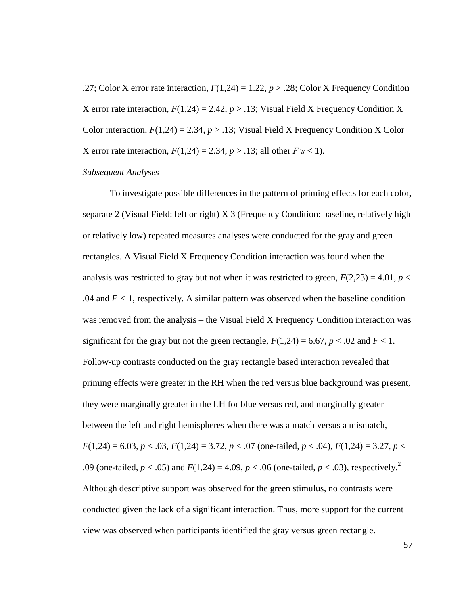.27; Color X error rate interaction,  $F(1,24) = 1.22$ ,  $p > .28$ ; Color X Frequency Condition X error rate interaction,  $F(1,24) = 2.42$ ,  $p > .13$ ; Visual Field X Frequency Condition X Color interaction,  $F(1,24) = 2.34$ ,  $p > .13$ ; Visual Field X Frequency Condition X Color X error rate interaction,  $F(1,24) = 2.34$ ,  $p > 0.13$ ; all other  $F's < 1$ .

### *Subsequent Analyses*

To investigate possible differences in the pattern of priming effects for each color, separate 2 (Visual Field: left or right) X 3 (Frequency Condition: baseline, relatively high or relatively low) repeated measures analyses were conducted for the gray and green rectangles. A Visual Field X Frequency Condition interaction was found when the analysis was restricted to gray but not when it was restricted to green,  $F(2,23) = 4.01$ ,  $p <$ .04 and  $F < 1$ , respectively. A similar pattern was observed when the baseline condition was removed from the analysis – the Visual Field X Frequency Condition interaction was significant for the gray but not the green rectangle,  $F(1,24) = 6.67$ ,  $p < .02$  and  $F < 1$ . Follow-up contrasts conducted on the gray rectangle based interaction revealed that priming effects were greater in the RH when the red versus blue background was present, they were marginally greater in the LH for blue versus red, and marginally greater between the left and right hemispheres when there was a match versus a mismatch,  $F(1,24) = 6.03, p < .03, F(1,24) = 3.72, p < .07$  (one-tailed,  $p < .04$ ),  $F(1,24) = 3.27, p < .07$ .09 (one-tailed,  $p < .05$ ) and  $F(1,24) = 4.09$ ,  $p < .06$  (one-tailed,  $p < .03$ ), respectively.<sup>2</sup> Although descriptive support was observed for the green stimulus, no contrasts were conducted given the lack of a significant interaction. Thus, more support for the current view was observed when participants identified the gray versus green rectangle.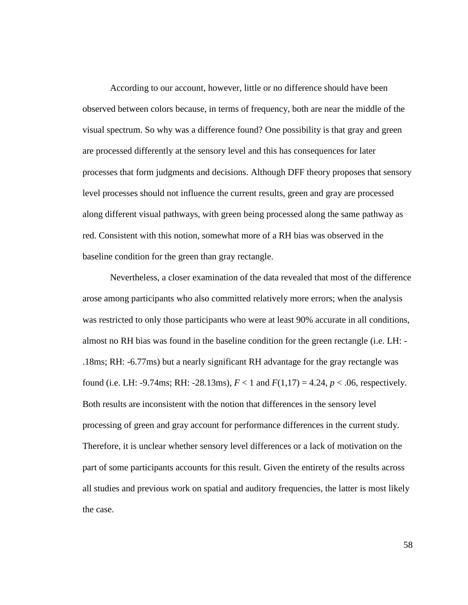According to our account, however, little or no difference should have been observed between colors because, in terms of frequency, both are near the middle of the visual spectrum. So why was a difference found? One possibility is that gray and green are processed differently at the sensory level and this has consequences for later processes that form judgments and decisions. Although DFF theory proposes that sensory level processes should not influence the current results, green and gray are processed along different visual pathways, with green being processed along the same pathway as red. Consistent with this notion, somewhat more of a RH bias was observed in the baseline condition for the green than gray rectangle.

Nevertheless, a closer examination of the data revealed that most of the difference arose among participants who also committed relatively more errors; when the analysis was restricted to only those participants who were at least 90% accurate in all conditions, almost no RH bias was found in the baseline condition for the green rectangle (i.e. LH: - .18ms; RH: -6.77ms) but a nearly significant RH advantage for the gray rectangle was found (i.e. LH: -9.74ms; RH: -28.13ms),  $F < 1$  and  $F(1,17) = 4.24$ ,  $p < .06$ , respectively. Both results are inconsistent with the notion that differences in the sensory level processing of green and gray account for performance differences in the current study. Therefore, it is unclear whether sensory level differences or a lack of motivation on the part of some participants accounts for this result. Given the entirety of the results across all studies and previous work on spatial and auditory frequencies, the latter is most likely the case.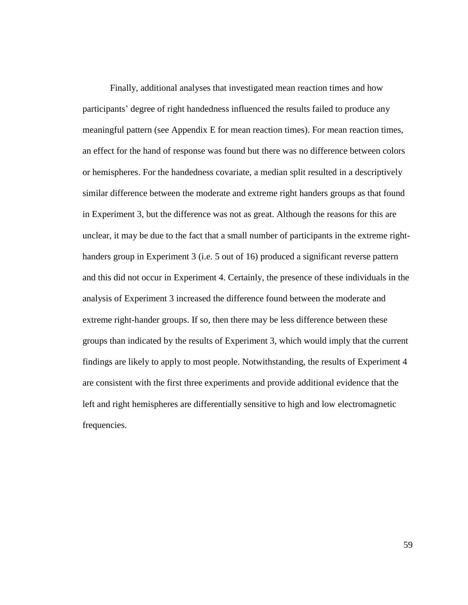Finally, additional analyses that investigated mean reaction times and how participants' degree of right handedness influenced the results failed to produce any meaningful pattern (see Appendix E for mean reaction times). For mean reaction times, an effect for the hand of response was found but there was no difference between colors or hemispheres. For the handedness covariate, a median split resulted in a descriptively similar difference between the moderate and extreme right handers groups as that found in Experiment 3, but the difference was not as great. Although the reasons for this are unclear, it may be due to the fact that a small number of participants in the extreme righthanders group in Experiment 3 (i.e. 5 out of 16) produced a significant reverse pattern and this did not occur in Experiment 4. Certainly, the presence of these individuals in the analysis of Experiment 3 increased the difference found between the moderate and extreme right-hander groups. If so, then there may be less difference between these groups than indicated by the results of Experiment 3, which would imply that the current findings are likely to apply to most people. Notwithstanding, the results of Experiment 4 are consistent with the first three experiments and provide additional evidence that the left and right hemispheres are differentially sensitive to high and low electromagnetic frequencies.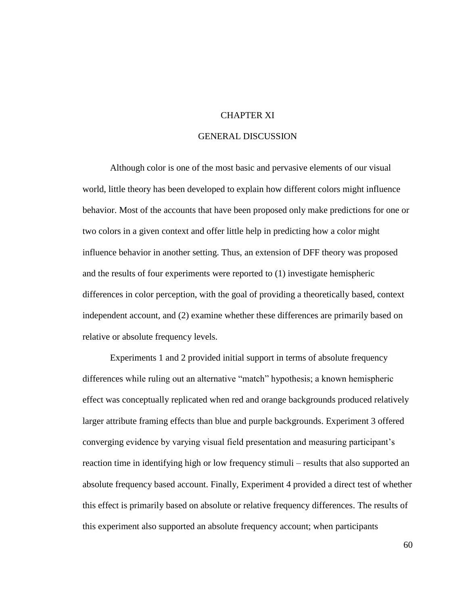## CHAPTER XI

# GENERAL DISCUSSION

Although color is one of the most basic and pervasive elements of our visual world, little theory has been developed to explain how different colors might influence behavior. Most of the accounts that have been proposed only make predictions for one or two colors in a given context and offer little help in predicting how a color might influence behavior in another setting. Thus, an extension of DFF theory was proposed and the results of four experiments were reported to (1) investigate hemispheric differences in color perception, with the goal of providing a theoretically based, context independent account, and (2) examine whether these differences are primarily based on relative or absolute frequency levels.

Experiments 1 and 2 provided initial support in terms of absolute frequency differences while ruling out an alternative "match" hypothesis; a known hemispheric effect was conceptually replicated when red and orange backgrounds produced relatively larger attribute framing effects than blue and purple backgrounds. Experiment 3 offered converging evidence by varying visual field presentation and measuring participant's reaction time in identifying high or low frequency stimuli – results that also supported an absolute frequency based account. Finally, Experiment 4 provided a direct test of whether this effect is primarily based on absolute or relative frequency differences. The results of this experiment also supported an absolute frequency account; when participants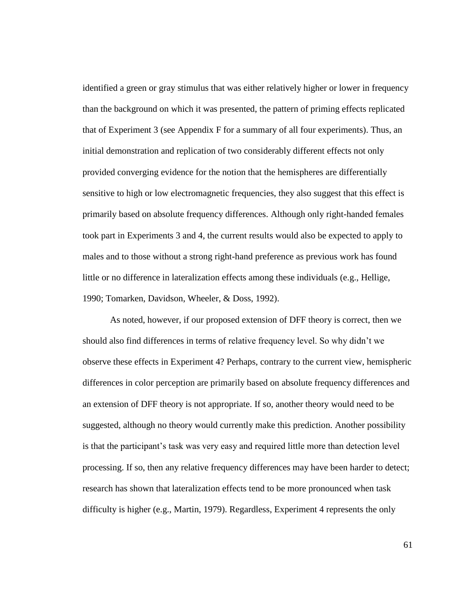identified a green or gray stimulus that was either relatively higher or lower in frequency than the background on which it was presented, the pattern of priming effects replicated that of Experiment 3 (see Appendix F for a summary of all four experiments). Thus, an initial demonstration and replication of two considerably different effects not only provided converging evidence for the notion that the hemispheres are differentially sensitive to high or low electromagnetic frequencies, they also suggest that this effect is primarily based on absolute frequency differences. Although only right-handed females took part in Experiments 3 and 4, the current results would also be expected to apply to males and to those without a strong right-hand preference as previous work has found little or no difference in lateralization effects among these individuals (e.g., Hellige, 1990; Tomarken, Davidson, Wheeler, & Doss, 1992).

As noted, however, if our proposed extension of DFF theory is correct, then we should also find differences in terms of relative frequency level. So why didn't we observe these effects in Experiment 4? Perhaps, contrary to the current view, hemispheric differences in color perception are primarily based on absolute frequency differences and an extension of DFF theory is not appropriate. If so, another theory would need to be suggested, although no theory would currently make this prediction. Another possibility is that the participant's task was very easy and required little more than detection level processing. If so, then any relative frequency differences may have been harder to detect; research has shown that lateralization effects tend to be more pronounced when task difficulty is higher (e.g., Martin, 1979). Regardless, Experiment 4 represents the only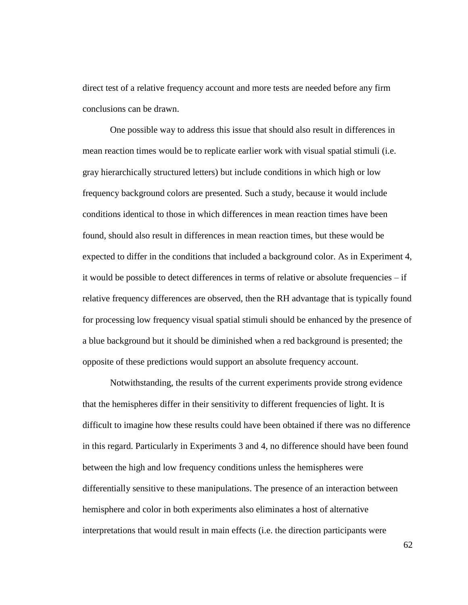direct test of a relative frequency account and more tests are needed before any firm conclusions can be drawn.

One possible way to address this issue that should also result in differences in mean reaction times would be to replicate earlier work with visual spatial stimuli (i.e. gray hierarchically structured letters) but include conditions in which high or low frequency background colors are presented. Such a study, because it would include conditions identical to those in which differences in mean reaction times have been found, should also result in differences in mean reaction times, but these would be expected to differ in the conditions that included a background color. As in Experiment 4, it would be possible to detect differences in terms of relative or absolute frequencies – if relative frequency differences are observed, then the RH advantage that is typically found for processing low frequency visual spatial stimuli should be enhanced by the presence of a blue background but it should be diminished when a red background is presented; the opposite of these predictions would support an absolute frequency account.

Notwithstanding, the results of the current experiments provide strong evidence that the hemispheres differ in their sensitivity to different frequencies of light. It is difficult to imagine how these results could have been obtained if there was no difference in this regard. Particularly in Experiments 3 and 4, no difference should have been found between the high and low frequency conditions unless the hemispheres were differentially sensitive to these manipulations. The presence of an interaction between hemisphere and color in both experiments also eliminates a host of alternative interpretations that would result in main effects (i.e. the direction participants were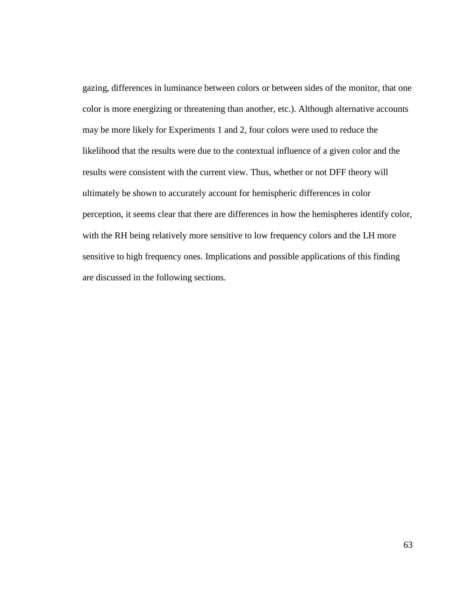gazing, differences in luminance between colors or between sides of the monitor, that one color is more energizing or threatening than another, etc.). Although alternative accounts may be more likely for Experiments 1 and 2, four colors were used to reduce the likelihood that the results were due to the contextual influence of a given color and the results were consistent with the current view. Thus, whether or not DFF theory will ultimately be shown to accurately account for hemispheric differences in color perception, it seems clear that there are differences in how the hemispheres identify color, with the RH being relatively more sensitive to low frequency colors and the LH more sensitive to high frequency ones. Implications and possible applications of this finding are discussed in the following sections.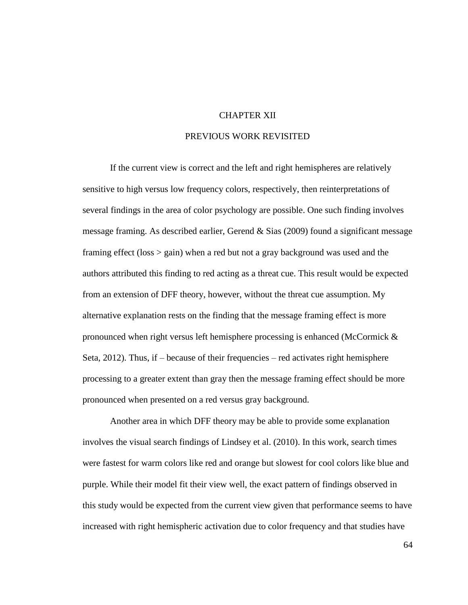## CHAPTER XII

## PREVIOUS WORK REVISITED

If the current view is correct and the left and right hemispheres are relatively sensitive to high versus low frequency colors, respectively, then reinterpretations of several findings in the area of color psychology are possible. One such finding involves message framing. As described earlier, Gerend & Sias (2009) found a significant message framing effect (loss > gain) when a red but not a gray background was used and the authors attributed this finding to red acting as a threat cue. This result would be expected from an extension of DFF theory, however, without the threat cue assumption. My alternative explanation rests on the finding that the message framing effect is more pronounced when right versus left hemisphere processing is enhanced (McCormick  $\&$ Seta, 2012). Thus, if – because of their frequencies – red activates right hemisphere processing to a greater extent than gray then the message framing effect should be more pronounced when presented on a red versus gray background.

Another area in which DFF theory may be able to provide some explanation involves the visual search findings of Lindsey et al. (2010). In this work, search times were fastest for warm colors like red and orange but slowest for cool colors like blue and purple. While their model fit their view well, the exact pattern of findings observed in this study would be expected from the current view given that performance seems to have increased with right hemispheric activation due to color frequency and that studies have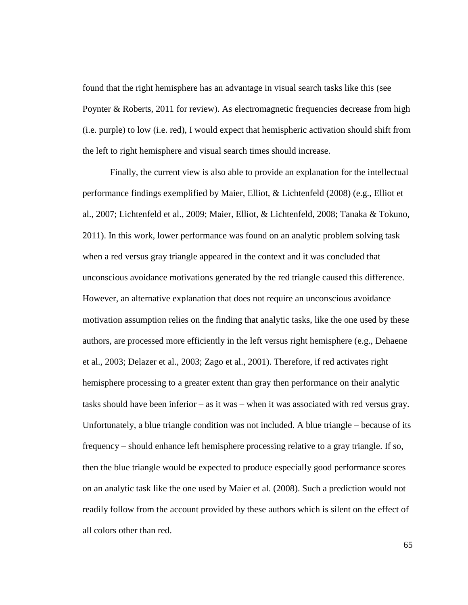found that the right hemisphere has an advantage in visual search tasks like this (see Poynter & Roberts, 2011 for review). As electromagnetic frequencies decrease from high (i.e. purple) to low (i.e. red), I would expect that hemispheric activation should shift from the left to right hemisphere and visual search times should increase.

Finally, the current view is also able to provide an explanation for the intellectual performance findings exemplified by Maier, Elliot, & Lichtenfeld (2008) (e.g., Elliot et al., 2007; Lichtenfeld et al., 2009; Maier, Elliot, & Lichtenfeld, 2008; Tanaka & Tokuno, 2011). In this work, lower performance was found on an analytic problem solving task when a red versus gray triangle appeared in the context and it was concluded that unconscious avoidance motivations generated by the red triangle caused this difference. However, an alternative explanation that does not require an unconscious avoidance motivation assumption relies on the finding that analytic tasks, like the one used by these authors, are processed more efficiently in the left versus right hemisphere (e.g., Dehaene et al., 2003; Delazer et al., 2003; Zago et al., 2001). Therefore, if red activates right hemisphere processing to a greater extent than gray then performance on their analytic tasks should have been inferior – as it was – when it was associated with red versus gray. Unfortunately, a blue triangle condition was not included. A blue triangle – because of its frequency – should enhance left hemisphere processing relative to a gray triangle. If so, then the blue triangle would be expected to produce especially good performance scores on an analytic task like the one used by Maier et al. (2008). Such a prediction would not readily follow from the account provided by these authors which is silent on the effect of all colors other than red.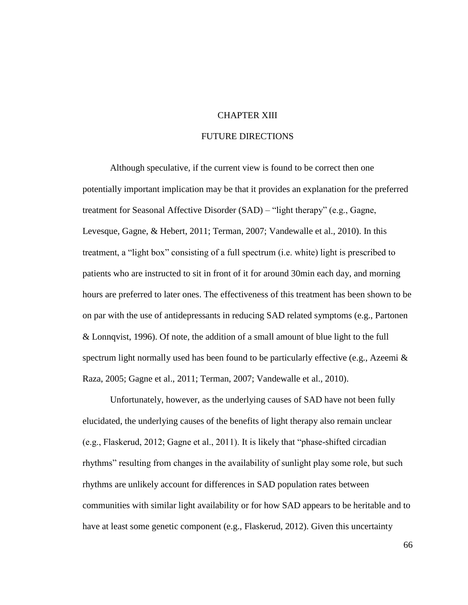### CHAPTER XIII

## FUTURE DIRECTIONS

Although speculative, if the current view is found to be correct then one potentially important implication may be that it provides an explanation for the preferred treatment for Seasonal Affective Disorder (SAD) – "light therapy" (e.g., Gagne, Levesque, Gagne, & Hebert, 2011; Terman, 2007; Vandewalle et al., 2010). In this treatment, a "light box" consisting of a full spectrum (i.e. white) light is prescribed to patients who are instructed to sit in front of it for around 30min each day, and morning hours are preferred to later ones. The effectiveness of this treatment has been shown to be on par with the use of antidepressants in reducing SAD related symptoms (e.g., Partonen & Lonnqvist, 1996). Of note, the addition of a small amount of blue light to the full spectrum light normally used has been found to be particularly effective (e.g., Azeemi  $\&$ Raza, 2005; Gagne et al., 2011; Terman, 2007; Vandewalle et al., 2010).

Unfortunately, however, as the underlying causes of SAD have not been fully elucidated, the underlying causes of the benefits of light therapy also remain unclear (e.g., Flaskerud, 2012; Gagne et al., 2011). It is likely that "phase-shifted circadian rhythms" resulting from changes in the availability of sunlight play some role, but such rhythms are unlikely account for differences in SAD population rates between communities with similar light availability or for how SAD appears to be heritable and to have at least some genetic component (e.g., Flaskerud, 2012). Given this uncertainty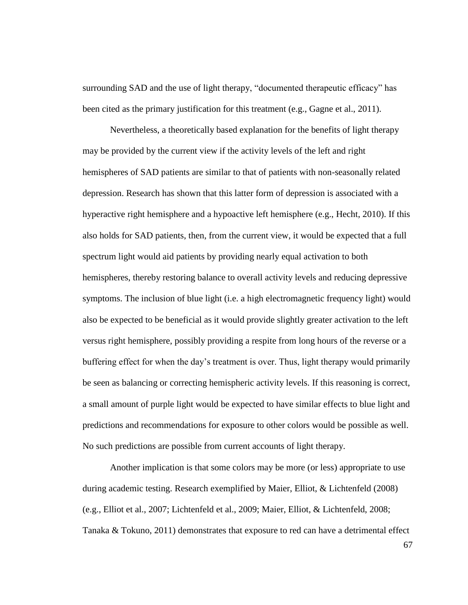surrounding SAD and the use of light therapy, "documented therapeutic efficacy" has been cited as the primary justification for this treatment (e.g., Gagne et al., 2011).

Nevertheless, a theoretically based explanation for the benefits of light therapy may be provided by the current view if the activity levels of the left and right hemispheres of SAD patients are similar to that of patients with non-seasonally related depression. Research has shown that this latter form of depression is associated with a hyperactive right hemisphere and a hypoactive left hemisphere (e.g., Hecht, 2010). If this also holds for SAD patients, then, from the current view, it would be expected that a full spectrum light would aid patients by providing nearly equal activation to both hemispheres, thereby restoring balance to overall activity levels and reducing depressive symptoms. The inclusion of blue light (i.e. a high electromagnetic frequency light) would also be expected to be beneficial as it would provide slightly greater activation to the left versus right hemisphere, possibly providing a respite from long hours of the reverse or a buffering effect for when the day's treatment is over. Thus, light therapy would primarily be seen as balancing or correcting hemispheric activity levels. If this reasoning is correct, a small amount of purple light would be expected to have similar effects to blue light and predictions and recommendations for exposure to other colors would be possible as well. No such predictions are possible from current accounts of light therapy.

Another implication is that some colors may be more (or less) appropriate to use during academic testing. Research exemplified by Maier, Elliot, & Lichtenfeld (2008) (e.g., Elliot et al., 2007; Lichtenfeld et al., 2009; Maier, Elliot, & Lichtenfeld, 2008; Tanaka & Tokuno, 2011) demonstrates that exposure to red can have a detrimental effect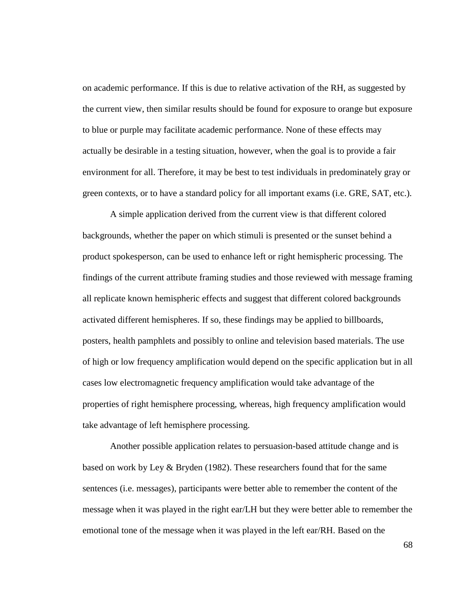on academic performance. If this is due to relative activation of the RH, as suggested by the current view, then similar results should be found for exposure to orange but exposure to blue or purple may facilitate academic performance. None of these effects may actually be desirable in a testing situation, however, when the goal is to provide a fair environment for all. Therefore, it may be best to test individuals in predominately gray or green contexts, or to have a standard policy for all important exams (i.e. GRE, SAT, etc.).

A simple application derived from the current view is that different colored backgrounds, whether the paper on which stimuli is presented or the sunset behind a product spokesperson, can be used to enhance left or right hemispheric processing. The findings of the current attribute framing studies and those reviewed with message framing all replicate known hemispheric effects and suggest that different colored backgrounds activated different hemispheres. If so, these findings may be applied to billboards, posters, health pamphlets and possibly to online and television based materials. The use of high or low frequency amplification would depend on the specific application but in all cases low electromagnetic frequency amplification would take advantage of the properties of right hemisphere processing, whereas, high frequency amplification would take advantage of left hemisphere processing.

Another possible application relates to persuasion-based attitude change and is based on work by Ley & Bryden (1982). These researchers found that for the same sentences (i.e. messages), participants were better able to remember the content of the message when it was played in the right ear/LH but they were better able to remember the emotional tone of the message when it was played in the left ear/RH. Based on the

68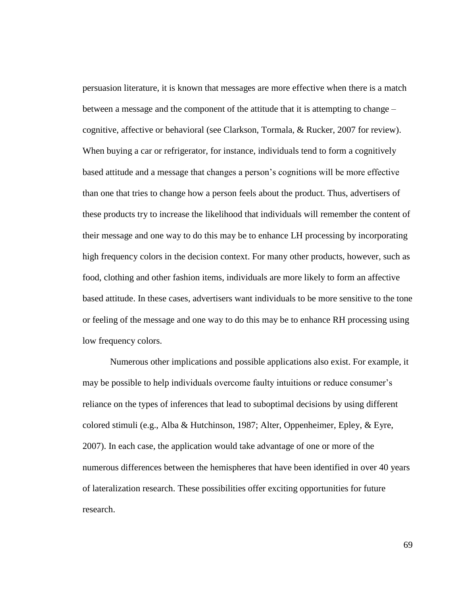persuasion literature, it is known that messages are more effective when there is a match between a message and the component of the attitude that it is attempting to change – cognitive, affective or behavioral (see Clarkson, Tormala, & Rucker, 2007 for review). When buying a car or refrigerator, for instance, individuals tend to form a cognitively based attitude and a message that changes a person's cognitions will be more effective than one that tries to change how a person feels about the product. Thus, advertisers of these products try to increase the likelihood that individuals will remember the content of their message and one way to do this may be to enhance LH processing by incorporating high frequency colors in the decision context. For many other products, however, such as food, clothing and other fashion items, individuals are more likely to form an affective based attitude. In these cases, advertisers want individuals to be more sensitive to the tone or feeling of the message and one way to do this may be to enhance RH processing using low frequency colors.

Numerous other implications and possible applications also exist. For example, it may be possible to help individuals overcome faulty intuitions or reduce consumer's reliance on the types of inferences that lead to suboptimal decisions by using different colored stimuli (e.g., Alba & Hutchinson, 1987; Alter, Oppenheimer, Epley, & Eyre, 2007). In each case, the application would take advantage of one or more of the numerous differences between the hemispheres that have been identified in over 40 years of lateralization research. These possibilities offer exciting opportunities for future research.

69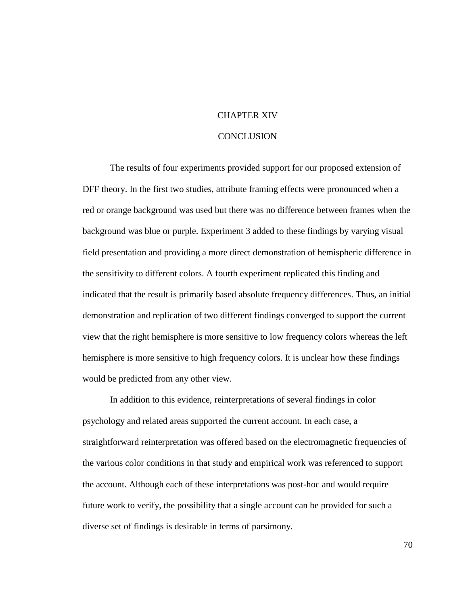### CHAPTER XIV

#### **CONCLUSION**

The results of four experiments provided support for our proposed extension of DFF theory. In the first two studies, attribute framing effects were pronounced when a red or orange background was used but there was no difference between frames when the background was blue or purple. Experiment 3 added to these findings by varying visual field presentation and providing a more direct demonstration of hemispheric difference in the sensitivity to different colors. A fourth experiment replicated this finding and indicated that the result is primarily based absolute frequency differences. Thus, an initial demonstration and replication of two different findings converged to support the current view that the right hemisphere is more sensitive to low frequency colors whereas the left hemisphere is more sensitive to high frequency colors. It is unclear how these findings would be predicted from any other view.

In addition to this evidence, reinterpretations of several findings in color psychology and related areas supported the current account. In each case, a straightforward reinterpretation was offered based on the electromagnetic frequencies of the various color conditions in that study and empirical work was referenced to support the account. Although each of these interpretations was post-hoc and would require future work to verify, the possibility that a single account can be provided for such a diverse set of findings is desirable in terms of parsimony.

70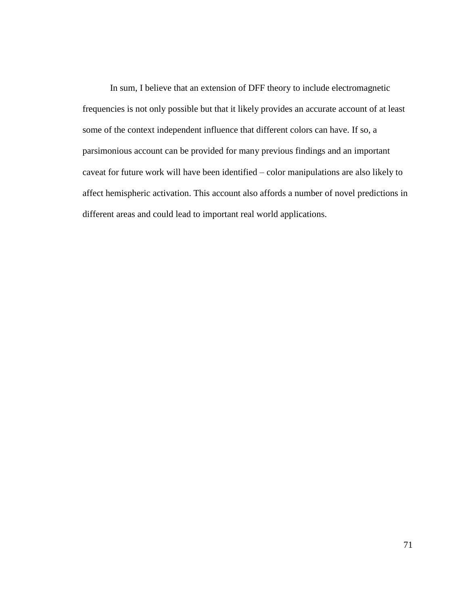In sum, I believe that an extension of DFF theory to include electromagnetic frequencies is not only possible but that it likely provides an accurate account of at least some of the context independent influence that different colors can have. If so, a parsimonious account can be provided for many previous findings and an important caveat for future work will have been identified – color manipulations are also likely to affect hemispheric activation. This account also affords a number of novel predictions in different areas and could lead to important real world applications.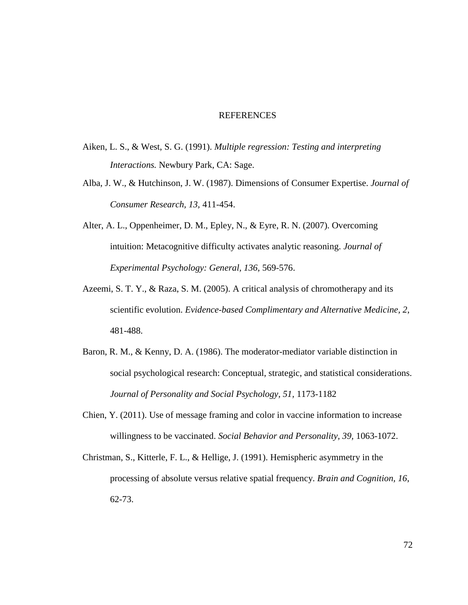#### REFERENCES

- Aiken, L. S., & West, S. G. (1991). *Multiple regression: Testing and interpreting Interactions.* Newbury Park, CA: Sage.
- Alba, J. W., & Hutchinson, J. W. (1987). Dimensions of Consumer Expertise. *Journal of Consumer Research, 13,* 411-454.
- Alter, A. L., Oppenheimer, D. M., Epley, N., & Eyre, R. N. (2007). Overcoming intuition: Metacognitive difficulty activates analytic reasoning. *Journal of Experimental Psychology: General, 136,* 569-576.
- Azeemi, S. T. Y., & Raza, S. M. (2005). A critical analysis of chromotherapy and its scientific evolution. *Evidence-based Complimentary and Alternative Medicine, 2*, 481-488.
- Baron, R. M., & Kenny, D. A. (1986). The moderator-mediator variable distinction in social psychological research: Conceptual, strategic, and statistical considerations. *Journal of Personality and Social Psychology, 51,* 1173-1182
- Chien, Y. (2011). Use of message framing and color in vaccine information to increase willingness to be vaccinated. *Social Behavior and Personality, 39,* 1063-1072.
- Christman, S., Kitterle, F. L., & Hellige, J. (1991). Hemispheric asymmetry in the processing of absolute versus relative spatial frequency. *Brain and Cognition, 16*, 62-73.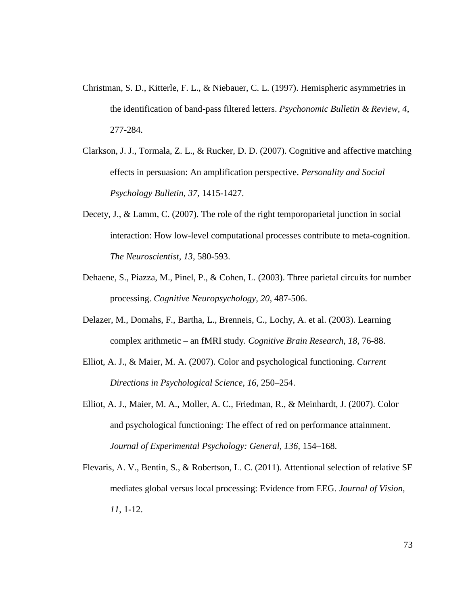- Christman, S. D., Kitterle, F. L., & Niebauer, C. L. (1997). Hemispheric asymmetries in the identification of band-pass filtered letters. *Psychonomic Bulletin & Review, 4*, 277-284.
- Clarkson, J. J., Tormala, Z. L., & Rucker, D. D. (2007). Cognitive and affective matching effects in persuasion: An amplification perspective. *Personality and Social Psychology Bulletin, 37,* 1415-1427.
- Decety, J., & Lamm, C. (2007). The role of the right temporoparietal junction in social interaction: How low-level computational processes contribute to meta-cognition. *The Neuroscientist, 13*, 580-593.
- Dehaene, S., Piazza, M., Pinel, P., & Cohen, L. (2003). Three parietal circuits for number processing. *Cognitive Neuropsychology, 20*, 487-506.
- Delazer, M., Domahs, F., Bartha, L., Brenneis, C., Lochy, A. et al. (2003). Learning complex arithmetic – an fMRI study. *Cognitive Brain Research, 18*, 76-88.
- Elliot, A. J., & Maier, M. A. (2007). Color and psychological functioning. *Current Directions in Psychological Science, 16,* 250–254.
- Elliot, A. J., Maier, M. A., Moller, A. C., Friedman, R., & Meinhardt, J. (2007). Color and psychological functioning: The effect of red on performance attainment. *Journal of Experimental Psychology: General, 136,* 154–168.
- Flevaris, A. V., Bentin, S., & Robertson, L. C. (2011). Attentional selection of relative SF mediates global versus local processing: Evidence from EEG. *Journal of Vision, 11*, 1-12.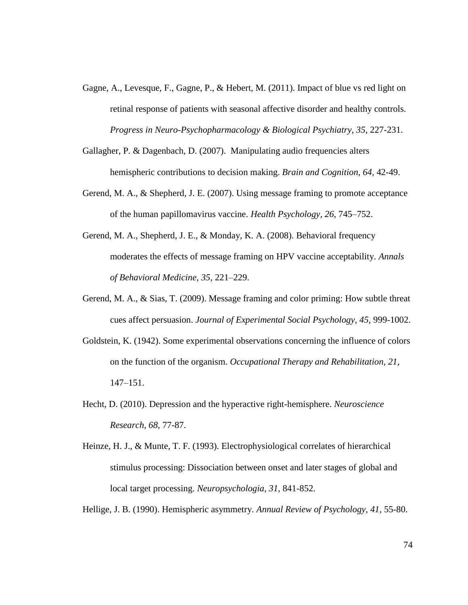- Gagne, A., Levesque, F., Gagne, P., & Hebert, M. (2011). Impact of blue vs red light on retinal response of patients with seasonal affective disorder and healthy controls. *Progress in Neuro-Psychopharmacology & Biological Psychiatry, 35*, 227-231.
- Gallagher, P. & Dagenbach, D. (2007). Manipulating audio frequencies alters hemispheric contributions to decision making. *Brain and Cognition, 64,* 42-49.
- Gerend, M. A., & Shepherd, J. E. (2007). Using message framing to promote acceptance of the human papillomavirus vaccine. *Health Psychology, 26,* 745–752.
- Gerend, M. A., Shepherd, J. E., & Monday, K. A. (2008). Behavioral frequency moderates the effects of message framing on HPV vaccine acceptability. *Annals of Behavioral Medicine, 35,* 221–229.
- Gerend, M. A., & Sias, T. (2009). Message framing and color priming: How subtle threat cues affect persuasion. *Journal of Experimental Social Psychology, 45,* 999-1002.
- Goldstein, K. (1942). Some experimental observations concerning the influence of colors on the function of the organism. *Occupational Therapy and Rehabilitation, 21,* 147–151.
- Hecht, D. (2010). Depression and the hyperactive right-hemisphere. *Neuroscience Research, 68*, 77-87.
- Heinze, H. J., & Munte, T. F. (1993). Electrophysiological correlates of hierarchical stimulus processing: Dissociation between onset and later stages of global and local target processing. *Neuropsychologia, 31*, 841-852.
- Hellige, J. B. (1990). Hemispheric asymmetry. *Annual Review of Psychology, 41,* 55-80.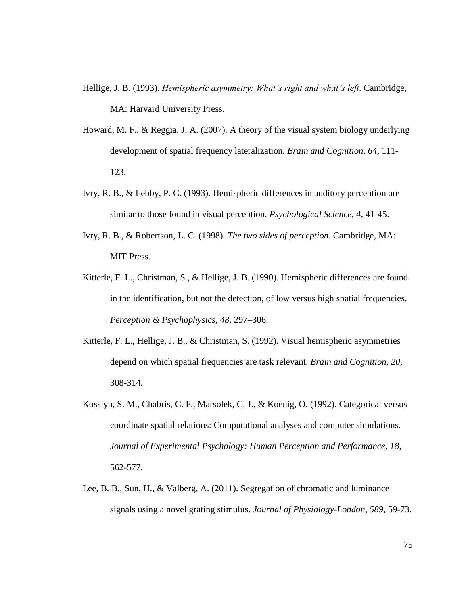- Hellige, J. B. (1993). *Hemispheric asymmetry: What's right and what's left*. Cambridge, MA: Harvard University Press.
- Howard, M. F., & Reggia, J. A. (2007). A theory of the visual system biology underlying development of spatial frequency lateralization. *Brain and Cognition, 64,* 111- 123.
- Ivry, R. B., & Lebby, P. C. (1993). Hemispheric differences in auditory perception are similar to those found in visual perception. *Psychological Science, 4*, 41-45.
- Ivry, R. B., & Robertson, L. C. (1998). *The two sides of perception*. Cambridge, MA: MIT Press.
- Kitterle, F. L., Christman, S., & Hellige, J. B. (1990). Hemispheric differences are found in the identification, but not the detection, of low versus high spatial frequencies. *Perception & Psychophysics*, *48*, 297–306.
- Kitterle, F. L., Hellige, J. B., & Christman, S. (1992). Visual hemispheric asymmetries depend on which spatial frequencies are task relevant. *Brain and Cognition, 20*, 308-314.
- Kosslyn, S. M., Chabris, C. F., Marsolek, C. J., & Koenig, O. (1992). Categorical versus coordinate spatial relations: Computational analyses and computer simulations. *Journal of Experimental Psychology: Human Perception and Performance, 18*, 562-577.
- Lee, B. B., Sun, H., & Valberg, A. (2011). Segregation of chromatic and luminance signals using a novel grating stimulus. *Journal of Physiology-London, 589*, 59-73.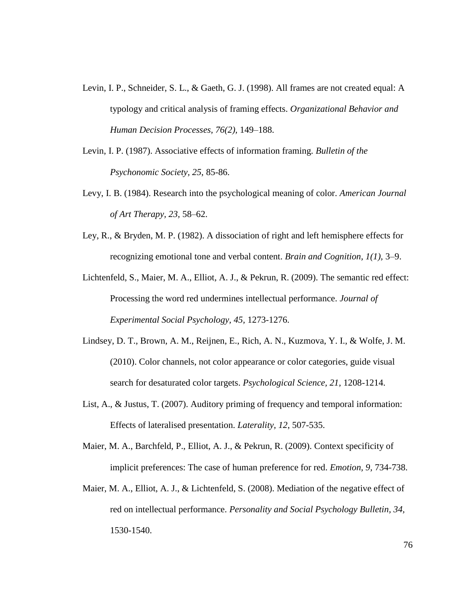- Levin, I. P., Schneider, S. L., & Gaeth, G. J. (1998). All frames are not created equal: A typology and critical analysis of framing effects. *Organizational Behavior and Human Decision Processes, 76(2),* 149–188.
- Levin, I. P. (1987). Associative effects of information framing. *Bulletin of the Psychonomic Society, 25*, 85-86.
- Levy, I. B. (1984). Research into the psychological meaning of color. *American Journal of Art Therapy, 23,* 58–62.
- Ley, R., & Bryden, M. P. (1982). A dissociation of right and left hemisphere effects for recognizing emotional tone and verbal content. *Brain and Cognition, 1(1),* 3–9.
- Lichtenfeld, S., Maier, M. A., Elliot, A. J., & Pekrun, R. (2009). The semantic red effect: Processing the word red undermines intellectual performance. *Journal of Experimental Social Psychology, 45,* 1273-1276.
- Lindsey, D. T., Brown, A. M., Reijnen, E., Rich, A. N., Kuzmova, Y. I., & Wolfe, J. M. (2010). Color channels, not color appearance or color categories, guide visual search for desaturated color targets. *Psychological Science, 21,* 1208-1214.
- List, A., & Justus, T. (2007). Auditory priming of frequency and temporal information: Effects of lateralised presentation. *Laterality, 12*, 507-535.
- Maier, M. A., Barchfeld, P., Elliot, A. J., & Pekrun, R. (2009). Context specificity of implicit preferences: The case of human preference for red. *Emotion, 9,* 734-738.
- Maier, M. A., Elliot, A. J., & Lichtenfeld, S. (2008). Mediation of the negative effect of red on intellectual performance. *Personality and Social Psychology Bulletin, 34,* 1530-1540.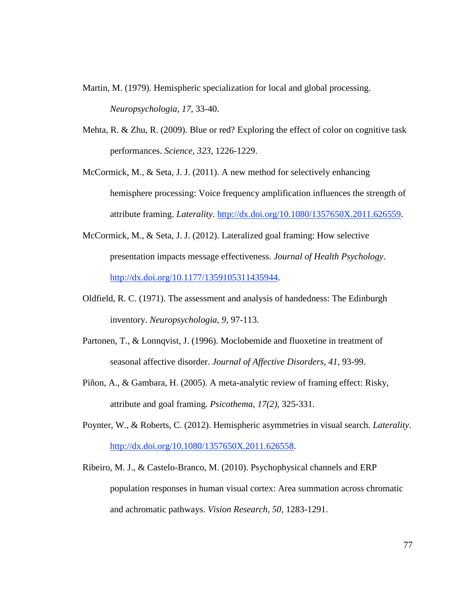- Martin, M. (1979). Hemispheric specialization for local and global processing. *Neuropsychologia, 17,* 33-40.
- Mehta, R. & Zhu, R. (2009). Blue or red? Exploring the effect of color on cognitive task performances. *Science, 323,* 1226-1229.
- McCormick, M., & Seta, J. J. (2011). A new method for selectively enhancing hemisphere processing: Voice frequency amplification influences the strength of attribute framing. *Laterality*. [http://dx.doi.org/10.1080/1357650X.2011.626559.](http://dx.doi.org/10.1080/1357650X.2011.626559)
- McCormick, M., & Seta, J. J. (2012). Lateralized goal framing: How selective presentation impacts message effectiveness. *Journal of Health Psychology*. [http://dx.doi.org/10.1177/1359105311435944.](http://dx.doi.org/10.1177/1359105311435944)
- Oldfield, R. C. (1971). The assessment and analysis of handedness: The Edinburgh inventory. *Neuropsychologia, 9,* 97-113.
- Partonen, T., & Lonnqvist, J. (1996). Moclobemide and fluoxetine in treatment of seasonal affective disorder. *Journal of Affective Disorders, 41*, 93-99.
- Piñon, A., & Gambara, H. (2005). A meta-analytic review of framing effect: Risky, attribute and goal framing. *Psicothema, 17(2),* 325-331.
- Poynter, W., & Roberts, C. (2012). Hemispheric asymmetries in visual search. *Laterality*. [http://dx.doi.org/10.1080/1357650X.2011.626558.](http://dx.doi.org/10.1080/1357650X.2011.626558)
- Ribeiro, M. J., & Castelo-Branco, M. (2010). Psychophysical channels and ERP population responses in human visual cortex: Area summation across chromatic and achromatic pathways. *Vision Research, 50*, 1283-1291.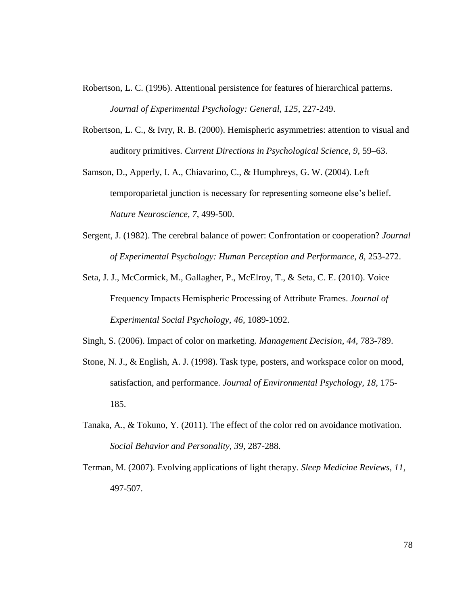- Robertson, L. C. (1996). Attentional persistence for features of hierarchical patterns. *Journal of Experimental Psychology: General, 125*, 227-249.
- Robertson, L. C., & Ivry, R. B. (2000). Hemispheric asymmetries: attention to visual and auditory primitives. *Current Directions in Psychological Science, 9,* 59–63.
- Samson, D., Apperly, I. A., Chiavarino, C., & Humphreys, G. W. (2004). Left temporoparietal junction is necessary for representing someone else's belief. *Nature Neuroscience, 7*, 499-500.
- Sergent, J. (1982). The cerebral balance of power: Confrontation or cooperation? *Journal of Experimental Psychology: Human Perception and Performance, 8,* 253-272.
- Seta, J. J., McCormick, M., Gallagher, P., McElroy, T., & Seta, C. E. (2010). Voice Frequency Impacts Hemispheric Processing of Attribute Frames. *Journal of Experimental Social Psychology, 46,* 1089-1092.
- Singh, S. (2006). Impact of color on marketing. *Management Decision, 44,* 783-789.
- Stone, N. J., & English, A. J. (1998). Task type, posters, and workspace color on mood, satisfaction, and performance. *Journal of Environmental Psychology, 18,* 175- 185.
- Tanaka, A., & Tokuno, Y. (2011). The effect of the color red on avoidance motivation. *Social Behavior and Personality, 39,* 287-288.
- Terman, M. (2007). Evolving applications of light therapy. *Sleep Medicine Reviews, 11*, 497-507.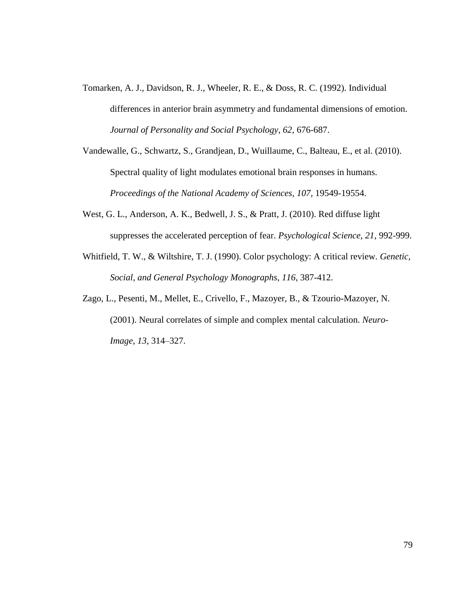- Tomarken, A. J., Davidson, R. J., Wheeler, R. E., & Doss, R. C. (1992). Individual differences in anterior brain asymmetry and fundamental dimensions of emotion. *Journal of Personality and Social Psychology, 62,* 676-687.
- Vandewalle, G., Schwartz, S., Grandjean, D., Wuillaume, C., Balteau, E., et al. (2010). Spectral quality of light modulates emotional brain responses in humans. *Proceedings of the National Academy of Sciences, 107*, 19549-19554.
- West, G. L., Anderson, A. K., Bedwell, J. S., & Pratt, J. (2010). Red diffuse light suppresses the accelerated perception of fear. *Psychological Science, 21*, 992-999.
- Whitfield, T. W., & Wiltshire, T. J. (1990). Color psychology: A critical review. *Genetic, Social, and General Psychology Monographs*, *116*, 387-412.
- Zago, L., Pesenti, M., Mellet, E., Crivello, F., Mazoyer, B., & Tzourio-Mazoyer, N. (2001). Neural correlates of simple and complex mental calculation. *Neuro-Image*, *13*, 314–327.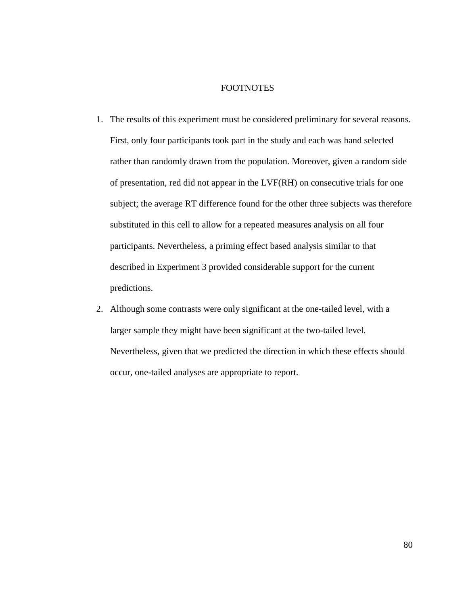#### FOOTNOTES

- 1. The results of this experiment must be considered preliminary for several reasons. First, only four participants took part in the study and each was hand selected rather than randomly drawn from the population. Moreover, given a random side of presentation, red did not appear in the LVF(RH) on consecutive trials for one subject; the average RT difference found for the other three subjects was therefore substituted in this cell to allow for a repeated measures analysis on all four participants. Nevertheless, a priming effect based analysis similar to that described in Experiment 3 provided considerable support for the current predictions.
- 2. Although some contrasts were only significant at the one-tailed level, with a larger sample they might have been significant at the two-tailed level. Nevertheless, given that we predicted the direction in which these effects should occur, one-tailed analyses are appropriate to report.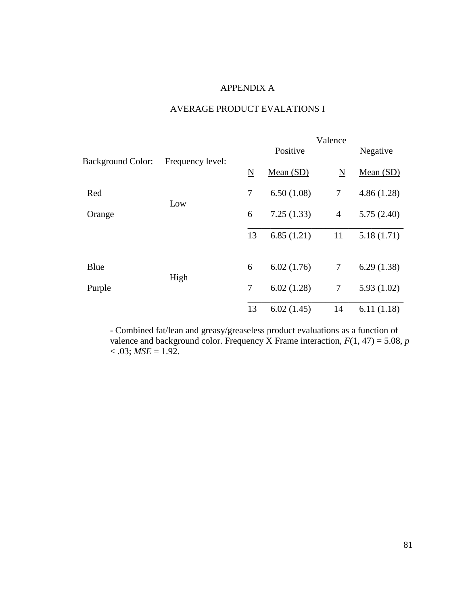## APPENDIX A

# AVERAGE PRODUCT EVALATIONS I

|                          |                  |             |             | Valence                  |            |
|--------------------------|------------------|-------------|-------------|--------------------------|------------|
|                          |                  |             | Positive    |                          | Negative   |
| <b>Background Color:</b> | Frequency level: | $\mathbf N$ | Mean $(SD)$ | $\underline{\mathbf{N}}$ | Mean(SD)   |
| Red                      |                  | 7           | 6.50(1.08)  | 7                        | 4.86(1.28) |
| Orange                   | Low              | 6           | 7.25(1.33)  | $\overline{4}$           | 5.75(2.40) |
|                          |                  | 13          | 6.85(1.21)  | 11                       | 5.18(1.71) |
|                          |                  |             |             |                          |            |
| Blue                     |                  | 6           | 6.02(1.76)  | $\tau$                   | 6.29(1.38) |
| Purple                   | High             | 7           | 6.02(1.28)  | $\overline{7}$           | 5.93(1.02) |
|                          |                  | 13          | 6.02(1.45)  | 14                       | 6.11(1.18) |

- Combined fat/lean and greasy/greaseless product evaluations as a function of valence and background color. Frequency X Frame interaction,  $F(1, 47) = 5.08$ ,  $p$  $< .03$ ; *MSE* = 1.92.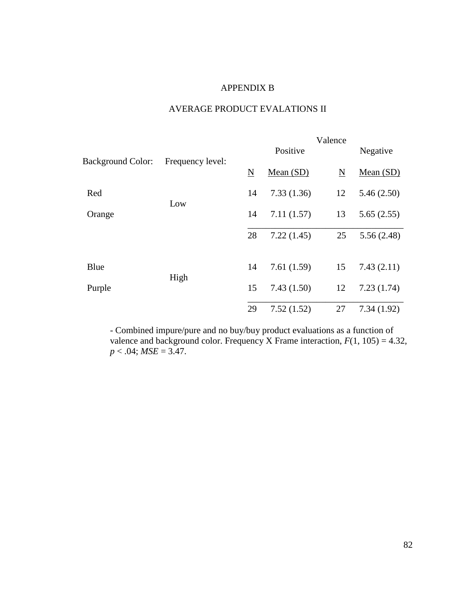## APPENDIX B

# AVERAGE PRODUCT EVALATIONS II

|                          |                  |    |             | Valence                  |            |
|--------------------------|------------------|----|-------------|--------------------------|------------|
| <b>Background Color:</b> |                  |    | Positive    |                          | Negative   |
|                          | Frequency level: | N  | Mean $(SD)$ | $\underline{\mathbf{N}}$ | Mean(SD)   |
| Red                      |                  | 14 | 7.33(1.36)  | 12                       | 5.46(2.50) |
| Orange                   | Low              | 14 | 7.11(1.57)  | 13                       | 5.65(2.55) |
|                          |                  | 28 | 7.22(1.45)  | 25                       | 5.56(2.48) |
| Blue                     |                  | 14 | 7.61(1.59)  | 15                       | 7.43(2.11) |
| Purple                   | High             | 15 | 7.43(1.50)  | 12                       | 7.23(1.74) |
|                          |                  | 29 | 7.52(1.52)  | 27                       | 7.34(1.92) |

- Combined impure/pure and no buy/buy product evaluations as a function of valence and background color. Frequency X Frame interaction,  $F(1, 105) = 4.32$ ,  $p < .04$ ;  $MSE = 3.47$ .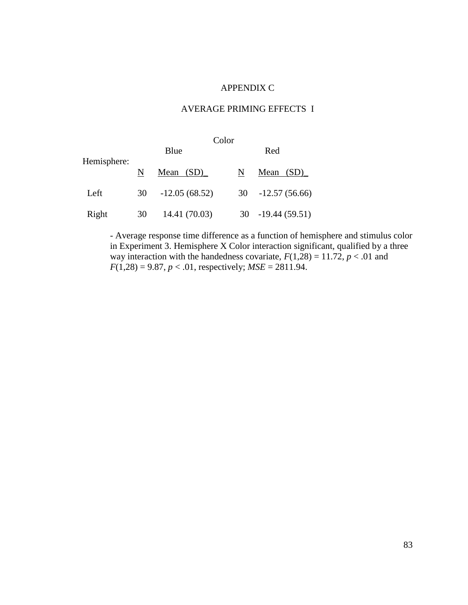## APPENDIX C

## AVERAGE PRIMING EFFECTS I

|             | Color |                 |             |                 |  |
|-------------|-------|-----------------|-------------|-----------------|--|
| Hemisphere: | Blue  |                 | Red         |                 |  |
|             | N     | Mean $(SD)$     | $\mathbb N$ | Mean $(SD)$     |  |
| Left        | 30    | $-12.05(68.52)$ | 30          | $-12.57(56.66)$ |  |
| Right       | 30    | 14.41 (70.03)   | 30          | $-19.44(59.51)$ |  |

- Average response time difference as a function of hemisphere and stimulus color in Experiment 3. Hemisphere X Color interaction significant, qualified by a three way interaction with the handedness covariate,  $F(1,28) = 11.72$ ,  $p < .01$  and  $F(1,28) = 9.87, p < .01$ , respectively;  $MSE = 2811.94$ .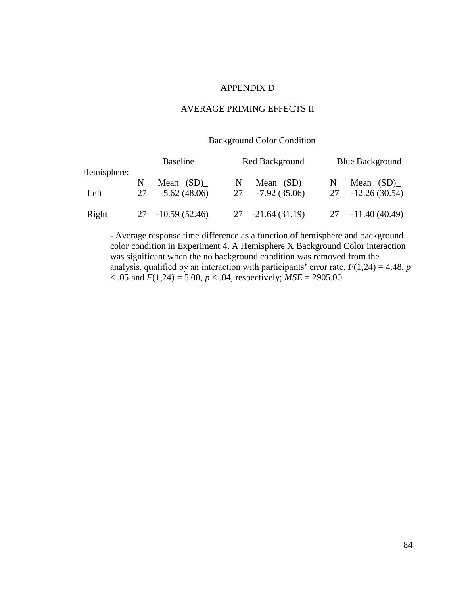#### APPENDIX D

## AVERAGE PRIMING EFFECTS II

# Background Color Condition

| Hemisphere: | <b>Baseline</b> |                             |    | Red Background              |    | <b>Blue Background</b>       |  |
|-------------|-----------------|-----------------------------|----|-----------------------------|----|------------------------------|--|
| Left        | 27              | Mean (SD)<br>$-5.62(48.06)$ | 27 | Mean (SD)<br>$-7.92(35.06)$ | 27 | Mean (SD)<br>$-12.26(30.54)$ |  |
| Right       | 27              | $-10.59(52.46)$             |    | $27 - 21.64(31.19)$         | 27 | $-11.40(40.49)$              |  |

- Average response time difference as a function of hemisphere and background color condition in Experiment 4. A Hemisphere X Background Color interaction was significant when the no background condition was removed from the analysis, qualified by an interaction with participants' error rate,  $F(1,24) = 4.48$ , *p*  $< .05$  and  $F(1,24) = 5.00$ ,  $p < .04$ , respectively;  $MSE = 2905.00$ .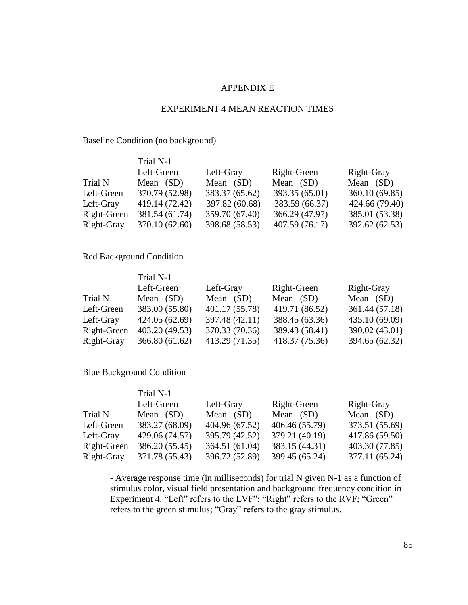#### APPENDIX E

## EXPERIMENT 4 MEAN REACTION TIMES

## Baseline Condition (no background)

|             | Trial N-1      |                |                |                |
|-------------|----------------|----------------|----------------|----------------|
|             | Left-Green     | Left-Gray      | Right-Green    | Right-Gray     |
| Trial N     | Mean $(SD)$    | Mean $(SD)$    | Mean $(SD)$    | Mean $(SD)$    |
| Left-Green  | 370.79 (52.98) | 383.37 (65.62) | 393.35 (65.01) | 360.10 (69.85) |
| Left-Gray   | 419.14 (72.42) | 397.82 (60.68) | 383.59 (66.37) | 424.66 (79.40) |
| Right-Green | 381.54 (61.74) | 359.70 (67.40) | 366.29 (47.97) | 385.01 (53.38) |
| Right-Gray  | 370.10 (62.60) | 398.68 (58.53) | 407.59 (76.17) | 392.62 (62.53) |

## Red Background Condition

|             | Trial N-1      |                |                |                |
|-------------|----------------|----------------|----------------|----------------|
|             | Left-Green     | Left-Gray      | Right-Green    | Right-Gray     |
| Trial N     | Mean $(SD)$    | Mean $(SD)$    | Mean $(SD)$    | Mean $(SD)$    |
| Left-Green  | 383.00 (55.80) | 401.17 (55.78) | 419.71 (86.52) | 361.44 (57.18) |
| Left-Gray   | 424.05 (62.69) | 397.48 (42.11) | 388.45 (63.36) | 435.10 (69.09) |
| Right-Green | 403.20 (49.53) | 370.33 (70.36) | 389.43 (58.41) | 390.02 (43.01) |
| Right-Gray  | 366.80 (61.62) | 413.29 (71.35) | 418.37 (75.36) | 394.65 (62.32) |

## Blue Background Condition

|             | Trial N-1      |                |                |                |
|-------------|----------------|----------------|----------------|----------------|
|             | Left-Green     | Left-Gray      | Right-Green    | Right-Gray     |
| Trial N     | Mean $(SD)$    | Mean $(SD)$    | Mean $(SD)$    | Mean $(SD)$    |
| Left-Green  | 383.27 (68.09) | 404.96 (67.52) | 406.46 (55.79) | 373.51 (55.69) |
| Left-Gray   | 429.06 (74.57) | 395.79 (42.52) | 379.21 (40.19) | 417.86 (59.50) |
| Right-Green | 386.20 (55.45) | 364.51 (61.04) | 383.15 (44.31) | 403.30 (77.85) |
| Right-Gray  | 371.78 (55.43) | 396.72 (52.89) | 399.45 (65.24) | 377.11 (65.24) |

- Average response time (in milliseconds) for trial N given N-1 as a function of stimulus color, visual field presentation and background frequency condition in Experiment 4. "Left" refers to the LVF"; "Right" refers to the RVF; "Green" refers to the green stimulus; "Gray" refers to the gray stimulus.